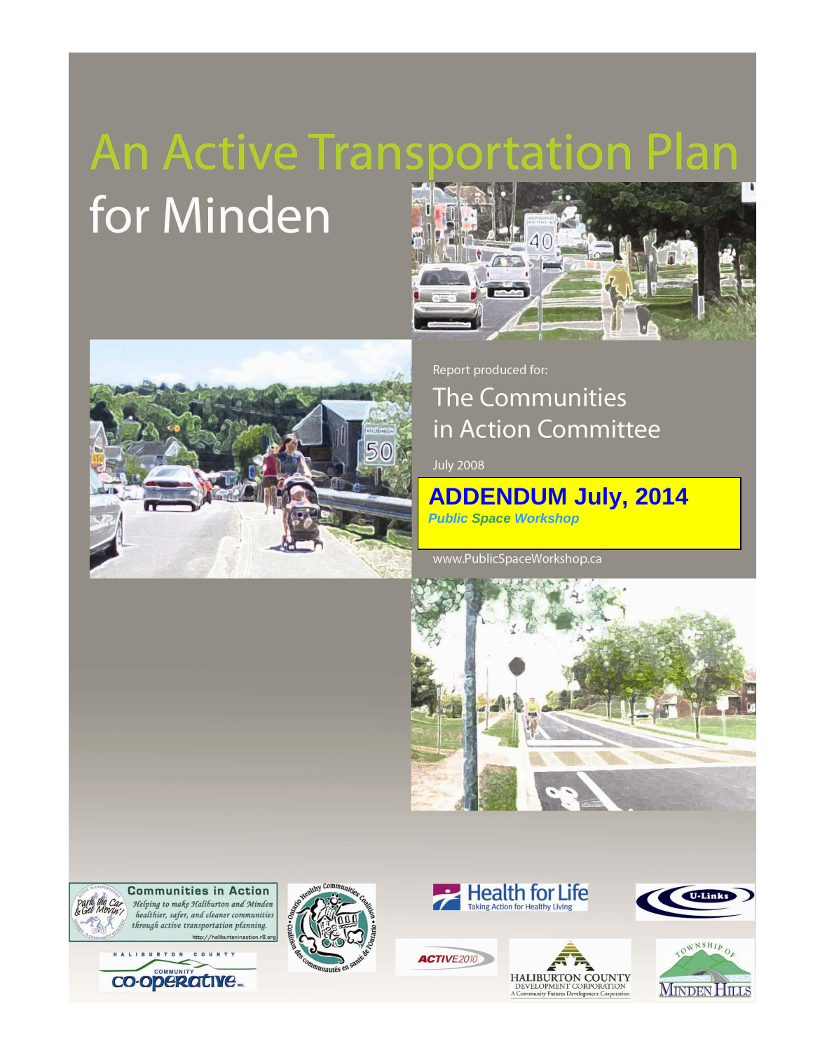# **An Active Transportation Plan** for Minden



Report produced for: **The Communities** in Action Committee

**July 2008** 

**ADDENDUM July, 2014** *Public Space Workshop*

www.PublicSpaceWorkshop.ca











**ACTIVE2010** 



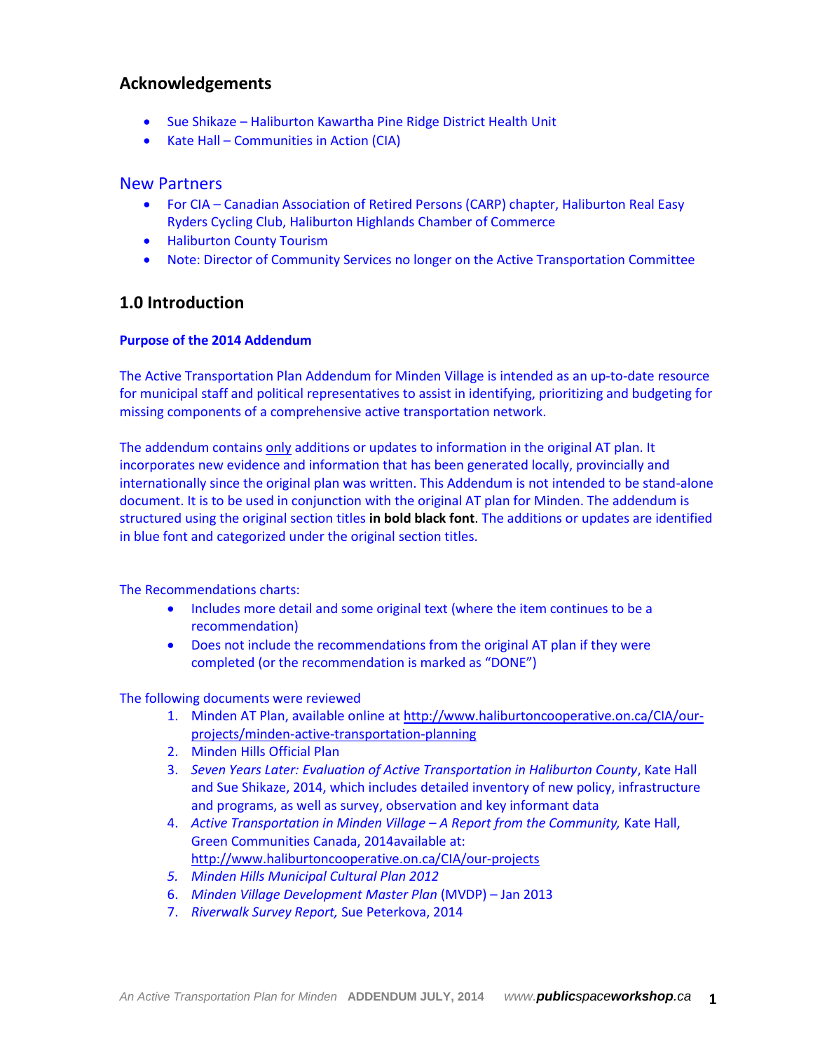## **Acknowledgements**

- Sue Shikaze Haliburton Kawartha Pine Ridge District Health Unit
- Kate Hall Communities in Action (CIA)

#### New Partners

- For CIA Canadian Association of Retired Persons (CARP) chapter, Haliburton Real Easy Ryders Cycling Club, Haliburton Highlands Chamber of Commerce
- **•** Haliburton County Tourism
- Note: Director of Community Services no longer on the Active Transportation Committee

## **1.0 Introduction**

#### **Purpose of the 2014 Addendum**

The Active Transportation Plan Addendum for Minden Village is intended as an up-to-date resource for municipal staff and political representatives to assist in identifying, prioritizing and budgeting for missing components of a comprehensive active transportation network.

The addendum contains only additions or updates to information in the original AT plan. It incorporates new evidence and information that has been generated locally, provincially and internationally since the original plan was written. This Addendum is not intended to be stand-alone document. It is to be used in conjunction with the original AT plan for Minden. The addendum is structured using the original section titles **in bold black font**. The additions or updates are identified in blue font and categorized under the original section titles.

The Recommendations charts:

- Includes more detail and some original text (where the item continues to be a recommendation)
- Does not include the recommendations from the original AT plan if they were completed (or the recommendation is marked as "DONE")

The following documents were reviewed

- 1. Minden AT Plan, available online at [http://www.haliburtoncooperative.on.ca/CIA/our](http://www.haliburtoncooperative.on.ca/CIA/our-projects/minden-active-transportation-planning)[projects/minden-active-transportation-planning](http://www.haliburtoncooperative.on.ca/CIA/our-projects/minden-active-transportation-planning)
- 2. Minden Hills Official Plan
- 3. *Seven Years Later: Evaluation of Active Transportation in Haliburton County*, Kate Hall and Sue Shikaze, 2014, which includes detailed inventory of new policy, infrastructure and programs, as well as survey, observation and key informant data
- 4. *Active Transportation in Minden Village – A Report from the Community,* Kate Hall, Green Communities Canada, 2014available at: <http://www.haliburtoncooperative.on.ca/CIA/our-projects>
- *5. Minden Hills Municipal Cultural Plan 2012*
- 6. *Minden Village Development Master Plan* (MVDP) Jan 2013
- 7. *Riverwalk Survey Report,* Sue Peterkova, 2014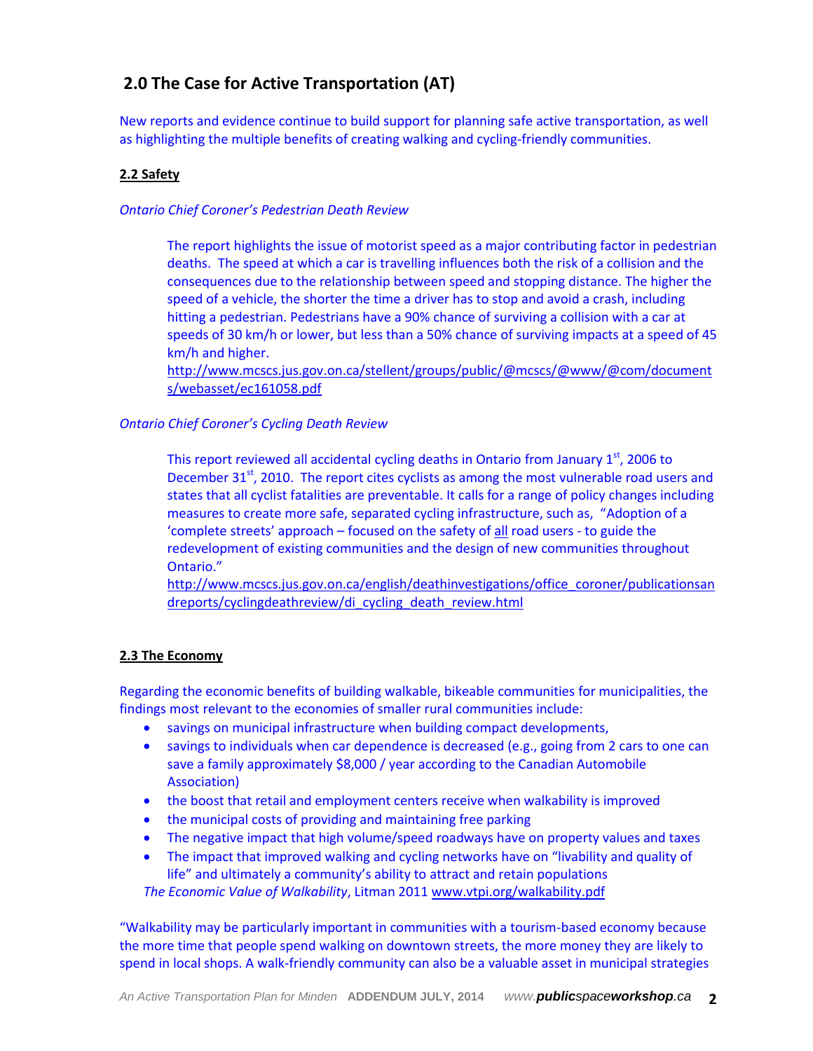# **2.0 The Case for Active Transportation (AT)**

New reports and evidence continue to build support for planning safe active transportation, as well as highlighting the multiple benefits of creating walking and cycling-friendly communities.

### **2.2 Safety**

#### *Ontario Chief Coroner's Pedestrian Death Review*

The report highlights the issue of motorist speed as a major contributing factor in pedestrian deaths. The speed at which a car is travelling influences both the risk of a collision and the consequences due to the relationship between speed and stopping distance. The higher the speed of a vehicle, the shorter the time a driver has to stop and avoid a crash, including hitting a pedestrian. Pedestrians have a 90% chance of surviving a collision with a car at speeds of 30 km/h or lower, but less than a 50% chance of surviving impacts at a speed of 45 km/h and higher.

[http://www.mcscs.jus.gov.on.ca/stellent/groups/public/@mcscs/@www/@com/document](http://www.mcscs.jus.gov.on.ca/stellent/groups/public/@mcscs/@www/@com/documents/webasset/ec161058.pdf) [s/webasset/ec161058.pdf](http://www.mcscs.jus.gov.on.ca/stellent/groups/public/@mcscs/@www/@com/documents/webasset/ec161058.pdf)

#### *Ontario Chief Coroner's Cycling Death Review*

This report reviewed all accidental cycling deaths in Ontario from January  $1<sup>st</sup>$ , 2006 to December  $31^{st}$ , 2010. The report cites cyclists as among the most vulnerable road users and states that all cyclist fatalities are preventable. It calls for a range of policy changes including measures to create more safe, separated cycling infrastructure, such as, "Adoption of a 'complete streets' approach – focused on the safety of all road users - to guide the redevelopment of existing communities and the design of new communities throughout Ontario."

[http://www.mcscs.jus.gov.on.ca/english/deathinvestigations/office\\_coroner/publicationsan](http://www.mcscs.jus.gov.on.ca/english/deathinvestigations/office_coroner/publicationsandreports/cyclingdeathreview/di_cycling_death_review.html) [dreports/cyclingdeathreview/di\\_cycling\\_death\\_review.html](http://www.mcscs.jus.gov.on.ca/english/deathinvestigations/office_coroner/publicationsandreports/cyclingdeathreview/di_cycling_death_review.html)

#### **2.3 The Economy**

Regarding the economic benefits of building walkable, bikeable communities for municipalities, the findings most relevant to the economies of smaller rural communities include:

- savings on municipal infrastructure when building compact developments,
- savings to individuals when car dependence is decreased (e.g., going from 2 cars to one can save a family approximately \$8,000 / year according to the Canadian Automobile Association)
- the boost that retail and employment centers receive when walkability is improved
- the municipal costs of providing and maintaining free parking
- The negative impact that high volume/speed roadways have on property values and taxes
- The impact that improved walking and cycling networks have on "livability and quality of life" and ultimately a community's ability to attract and retain populations

*The Economic Value of Walkability*, Litman 2011 [www.vtpi.org/walkability.pdf](http://www.vtpi.org/walkability.pdf)

"Walkability may be particularly important in communities with a tourism-based economy because the more time that people spend walking on downtown streets, the more money they are likely to spend in local shops. A walk-friendly community can also be a valuable asset in municipal strategies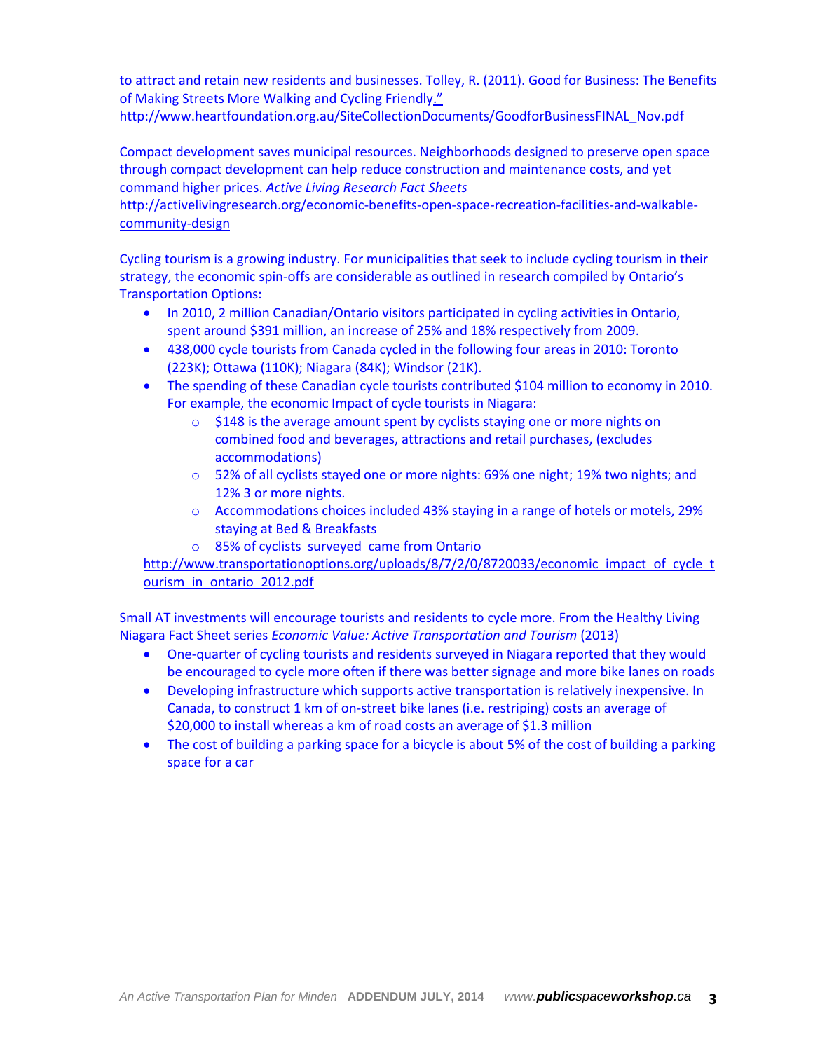to attract and retain new residents and businesses. Tolley, R. (2011). Good for Business: The Benefits of Making Streets More Walking and Cycling Friendly."

[http://www.heartfoundation.org.au/SiteCollectionDocuments/GoodforBusinessFINAL\\_Nov.pdf](http://www.heartfoundation.org.au/SiteCollectionDocuments/GoodforBusinessFINAL_Nov.pdf)

Compact development saves municipal resources. Neighborhoods designed to preserve open space through compact development can help reduce construction and maintenance costs, and yet command higher prices. *Active Living Research Fact Sheets* 

[http://activelivingresearch.org/economic-benefits-open-space-recreation-facilities-and-walkable](http://activelivingresearch.org/economic-benefits-open-space-recreation-facilities-and-walkable-community-design)[community-design](http://activelivingresearch.org/economic-benefits-open-space-recreation-facilities-and-walkable-community-design)

Cycling tourism is a growing industry. For municipalities that seek to include cycling tourism in their strategy, the economic spin-offs are considerable as outlined in research compiled by Ontario's Transportation Options:

- In 2010, 2 million Canadian/Ontario visitors participated in cycling activities in Ontario, spent around \$391 million, an increase of 25% and 18% respectively from 2009.
- 438,000 cycle tourists from Canada cycled in the following four areas in 2010: Toronto (223K); Ottawa (110K); Niagara (84K); Windsor (21K).
- The spending of these Canadian cycle tourists contributed \$104 million to economy in 2010. For example, the economic Impact of cycle tourists in Niagara:
	- o \$148 is the average amount spent by cyclists staying one or more nights on combined food and beverages, attractions and retail purchases, (excludes accommodations)
	- o 52% of all cyclists stayed one or more nights: 69% one night; 19% two nights; and 12% 3 or more nights.
	- o Accommodations choices included 43% staying in a range of hotels or motels, 29% staying at Bed & Breakfasts
	- o 85% of cyclists surveyed came from Ontario

[http://www.transportationoptions.org/uploads/8/7/2/0/8720033/economic\\_impact\\_of\\_cycle\\_t](http://www.transportationoptions.org/uploads/8/7/2/0/8720033/economic_impact_of_cycle_tourism_in_ontario_2012.pdf) ourism in ontario 2012.pdf

Small AT investments will encourage tourists and residents to cycle more. From the Healthy Living Niagara Fact Sheet series *Economic Value: Active Transportation and Tourism* (2013)

- One-quarter of cycling tourists and residents surveyed in Niagara reported that they would be encouraged to cycle more often if there was better signage and more bike lanes on roads
- Developing infrastructure which supports active transportation is relatively inexpensive. In Canada, to construct 1 km of on-street bike lanes (i.e. restriping) costs an average of \$20,000 to install whereas a km of road costs an average of \$1.3 million
- The cost of building a parking space for a bicycle is about 5% of the cost of building a parking space for a car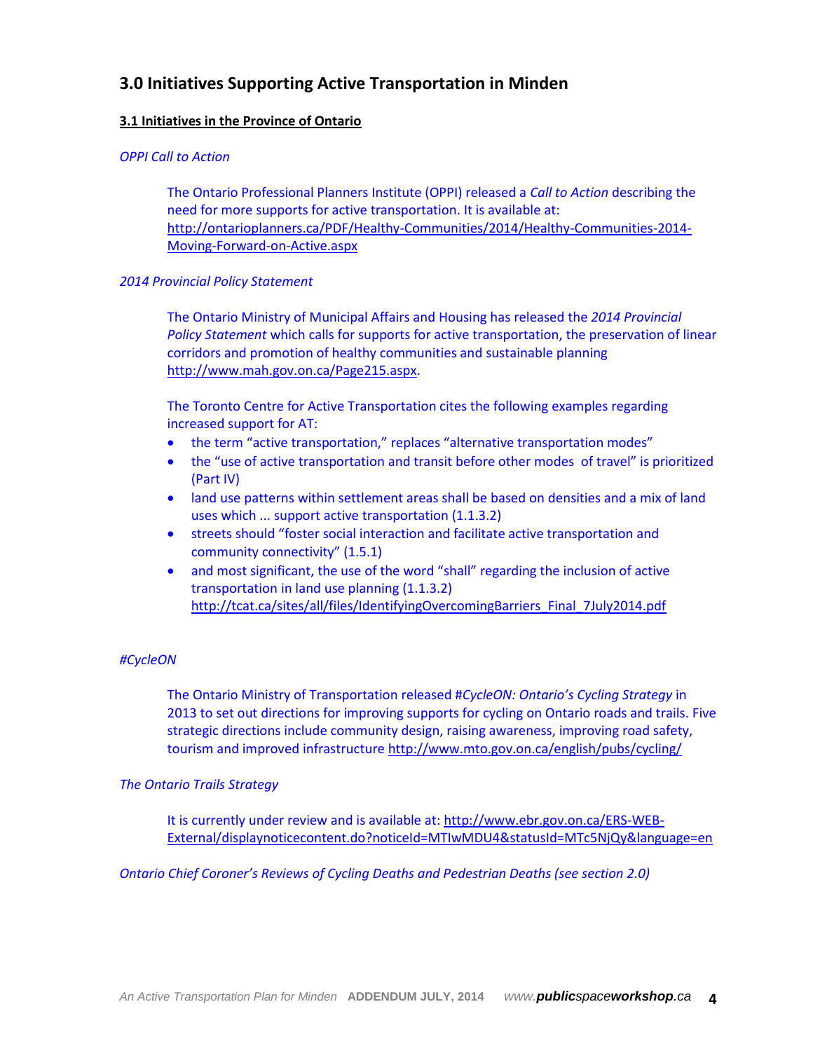# **3.0 Initiatives Supporting Active Transportation in Minden**

#### **3.1 Initiatives in the Province of Ontario**

#### *OPPI Call to Action*

The Ontario Professional Planners Institute (OPPI) released a *Call to Action* describing the need for more supports for active transportation. It is available at: [http://ontarioplanners.ca/PDF/Healthy-Communities/2014/Healthy-Communities-2014-](http://ontarioplanners.ca/PDF/Healthy-Communities/2014/Healthy-Communities-2014-Moving-Forward-on-Active.aspx) [Moving-Forward-on-Active.aspx](http://ontarioplanners.ca/PDF/Healthy-Communities/2014/Healthy-Communities-2014-Moving-Forward-on-Active.aspx)

#### *2014 Provincial Policy Statement*

The Ontario Ministry of Municipal Affairs and Housing has released the *2014 Provincial Policy Statement* which calls for supports for active transportation, the preservation of linear corridors and promotion of healthy communities and sustainable planning [http://www.mah.gov.on.ca/Page215.aspx.](http://www.mah.gov.on.ca/Page215.aspx)

The Toronto Centre for Active Transportation cites the following examples regarding increased support for AT:

- the term "active transportation," replaces "alternative transportation modes"
- the "use of active transportation and transit before other modes of travel" is prioritized (Part IV)
- land use patterns within settlement areas shall be based on densities and a mix of land uses which ... support active transportation (1.1.3.2)
- streets should "foster social interaction and facilitate active transportation and community connectivity" (1.5.1)
- and most significant, the use of the word "shall" regarding the inclusion of active transportation in land use planning (1.1.3.2) [http://tcat.ca/sites/all/files/IdentifyingOvercomingBarriers\\_Final\\_7July2014.pdf](http://tcat.ca/sites/all/files/IdentifyingOvercomingBarriers_Final_7July2014.pdf)

#### *#CycleON*

The Ontario Ministry of Transportation released #*CycleON: Ontario's Cycling Strategy* in 2013 to set out directions for improving supports for cycling on Ontario roads and trails. Five strategic directions include community design, raising awareness, improving road safety, tourism and improved infrastructure<http://www.mto.gov.on.ca/english/pubs/cycling/>

#### *The Ontario Trails Strategy*

It is currently under review and is available at: [http://www.ebr.gov.on.ca/ERS-WEB-](http://www.ebr.gov.on.ca/ERS-WEB-External/displaynoticecontent.do?noticeId=MTIwMDU4&statusId=MTc5NjQy&language=en)[External/displaynoticecontent.do?noticeId=MTIwMDU4&statusId=MTc5NjQy&language=en](http://www.ebr.gov.on.ca/ERS-WEB-External/displaynoticecontent.do?noticeId=MTIwMDU4&statusId=MTc5NjQy&language=en)

*Ontario Chief Coroner's Reviews of Cycling Deaths and Pedestrian Deaths (see section 2.0)*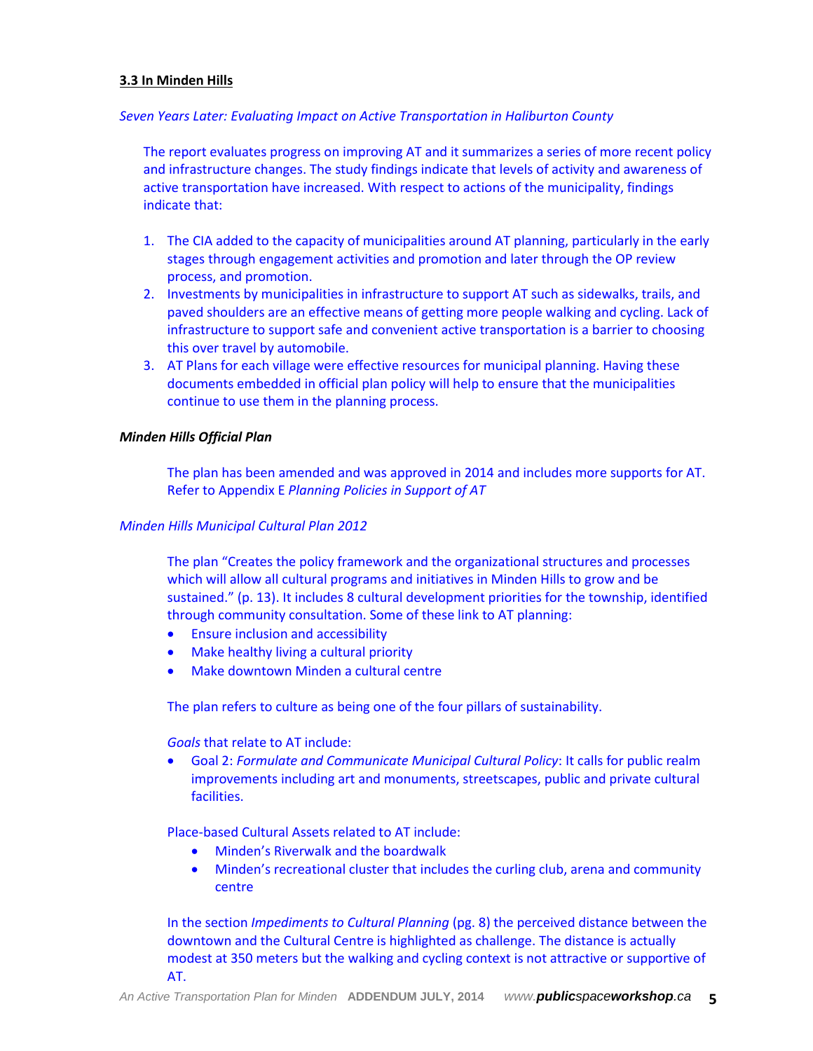#### **3.3 In Minden Hills**

#### *Seven Years Later: Evaluating Impact on Active Transportation in Haliburton County*

The report evaluates progress on improving AT and it summarizes a series of more recent policy and infrastructure changes. The study findings indicate that levels of activity and awareness of active transportation have increased. With respect to actions of the municipality, findings indicate that:

- 1. The CIA added to the capacity of municipalities around AT planning, particularly in the early stages through engagement activities and promotion and later through the OP review process, and promotion.
- 2. Investments by municipalities in infrastructure to support AT such as sidewalks, trails, and paved shoulders are an effective means of getting more people walking and cycling. Lack of infrastructure to support safe and convenient active transportation is a barrier to choosing this over travel by automobile.
- 3. AT Plans for each village were effective resources for municipal planning. Having these documents embedded in official plan policy will help to ensure that the municipalities continue to use them in the planning process.

#### *Minden Hills Official Plan*

The plan has been amended and was approved in 2014 and includes more supports for AT. Refer to Appendix E *Planning Policies in Support of AT*

#### *Minden Hills Municipal Cultural Plan 2012*

The plan "Creates the policy framework and the organizational structures and processes which will allow all cultural programs and initiatives in Minden Hills to grow and be sustained." (p. 13). It includes 8 cultural development priorities for the township, identified through community consultation. Some of these link to AT planning:

- **Ensure inclusion and accessibility**
- Make healthy living a cultural priority
- Make downtown Minden a cultural centre

The plan refers to culture as being one of the four pillars of sustainability.

*Goals* that relate to AT include:

 Goal 2: *Formulate and Communicate Municipal Cultural Policy*: It calls for public realm improvements including art and monuments, streetscapes, public and private cultural facilities.

Place-based Cultural Assets related to AT include:

- Minden's Riverwalk and the boardwalk
- Minden's recreational cluster that includes the curling club, arena and community centre

In the section *Impediments to Cultural Planning* (pg. 8) the perceived distance between the downtown and the Cultural Centre is highlighted as challenge. The distance is actually modest at 350 meters but the walking and cycling context is not attractive or supportive of AT.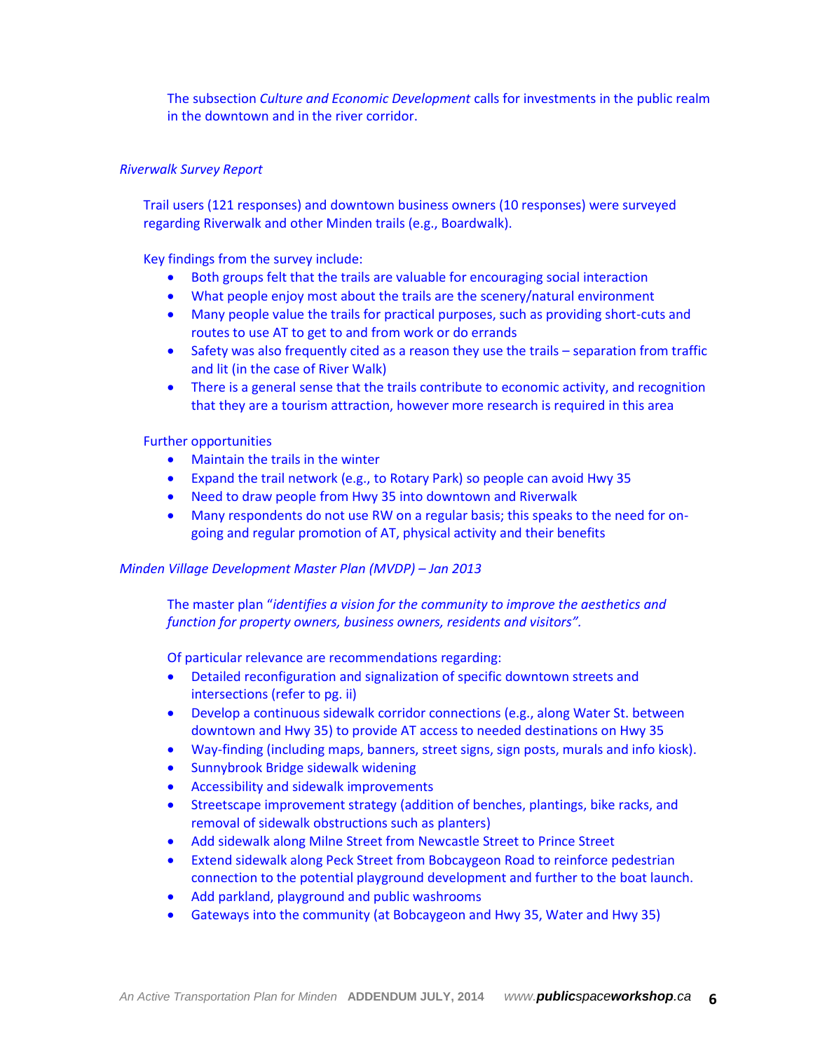The subsection *Culture and Economic Development* calls for investments in the public realm in the downtown and in the river corridor.

#### *Riverwalk Survey Report*

Trail users (121 responses) and downtown business owners (10 responses) were surveyed regarding Riverwalk and other Minden trails (e.g., Boardwalk).

Key findings from the survey include:

- Both groups felt that the trails are valuable for encouraging social interaction
- What people enjoy most about the trails are the scenery/natural environment
- Many people value the trails for practical purposes, such as providing short-cuts and routes to use AT to get to and from work or do errands
- Safety was also frequently cited as a reason they use the trails separation from traffic and lit (in the case of River Walk)
- There is a general sense that the trails contribute to economic activity, and recognition that they are a tourism attraction, however more research is required in this area

Further opportunities

- Maintain the trails in the winter
- Expand the trail network (e.g., to Rotary Park) so people can avoid Hwy 35
- Need to draw people from Hwy 35 into downtown and Riverwalk
- Many respondents do not use RW on a regular basis; this speaks to the need for ongoing and regular promotion of AT, physical activity and their benefits

#### *Minden Village Development Master Plan (MVDP) – Jan 2013*

The master plan "*identifies a vision for the community to improve the aesthetics and function for property owners, business owners, residents and visitors".*

Of particular relevance are recommendations regarding:

- Detailed reconfiguration and signalization of specific downtown streets and intersections (refer to pg. ii)
- Develop a continuous sidewalk corridor connections (e.g., along Water St. between downtown and Hwy 35) to provide AT access to needed destinations on Hwy 35
- Way-finding (including maps, banners, street signs, sign posts, murals and info kiosk).
- Sunnybrook Bridge sidewalk widening
- Accessibility and sidewalk improvements
- Streetscape improvement strategy (addition of benches, plantings, bike racks, and removal of sidewalk obstructions such as planters)
- Add sidewalk along Milne Street from Newcastle Street to Prince Street
- Extend sidewalk along Peck Street from Bobcaygeon Road to reinforce pedestrian connection to the potential playground development and further to the boat launch.
- Add parkland, playground and public washrooms
- Gateways into the community (at Bobcaygeon and Hwy 35, Water and Hwy 35)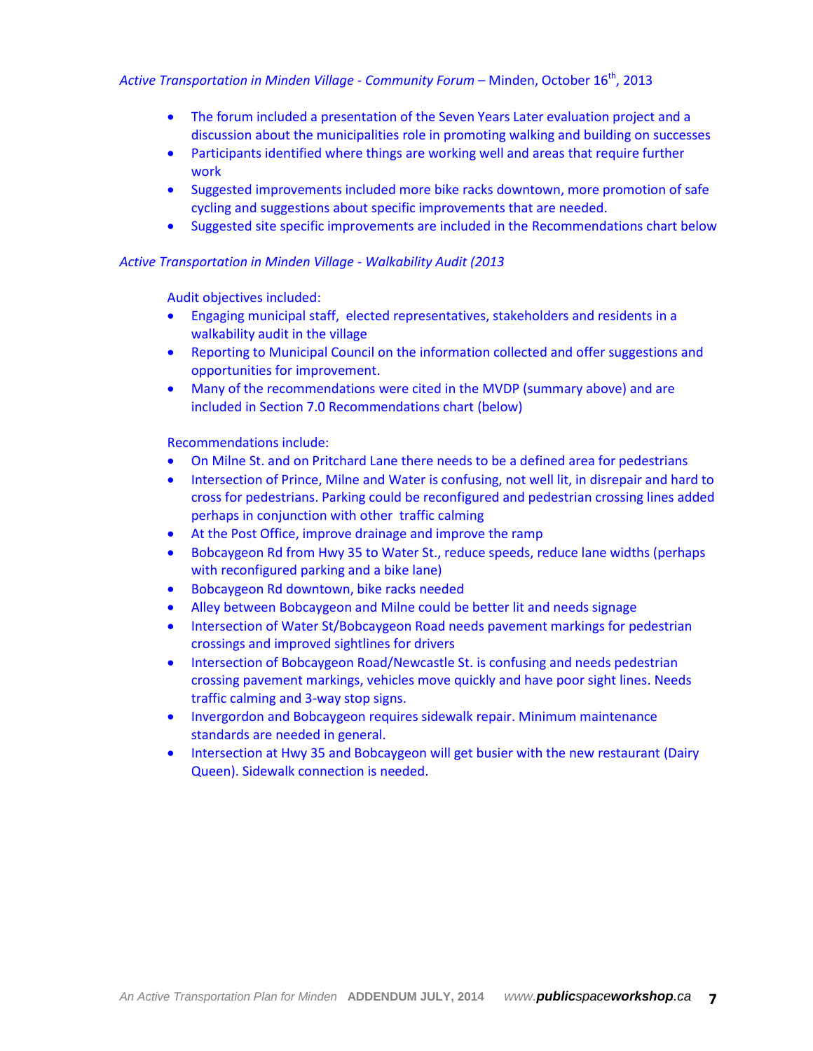#### *Active Transportation in Minden Village - Community Forum* – Minden, October 16th , 2013

- The forum included a presentation of the Seven Years Later evaluation project and a discussion about the municipalities role in promoting walking and building on successes
- Participants identified where things are working well and areas that require further work
- Suggested improvements included more bike racks downtown, more promotion of safe cycling and suggestions about specific improvements that are needed.
- Suggested site specific improvements are included in the Recommendations chart below

#### *Active Transportation in Minden Village - Walkability Audit (2013*

Audit objectives included:

- Engaging municipal staff, elected representatives, stakeholders and residents in a walkability audit in the village
- Reporting to Municipal Council on the information collected and offer suggestions and opportunities for improvement.
- Many of the recommendations were cited in the MVDP (summary above) and are included in Section 7.0 Recommendations chart (below)

Recommendations include:

- On Milne St. and on Pritchard Lane there needs to be a defined area for pedestrians
- Intersection of Prince, Milne and Water is confusing, not well lit, in disrepair and hard to cross for pedestrians. Parking could be reconfigured and pedestrian crossing lines added perhaps in conjunction with other traffic calming
- At the Post Office, improve drainage and improve the ramp
- Bobcaygeon Rd from Hwy 35 to Water St., reduce speeds, reduce lane widths (perhaps with reconfigured parking and a bike lane)
- Bobcaygeon Rd downtown, bike racks needed
- Alley between Bobcaygeon and Milne could be better lit and needs signage
- Intersection of Water St/Bobcaygeon Road needs pavement markings for pedestrian crossings and improved sightlines for drivers
- Intersection of Bobcaygeon Road/Newcastle St. is confusing and needs pedestrian crossing pavement markings, vehicles move quickly and have poor sight lines. Needs traffic calming and 3-way stop signs.
- Invergordon and Bobcaygeon requires sidewalk repair. Minimum maintenance standards are needed in general.
- Intersection at Hwy 35 and Bobcaygeon will get busier with the new restaurant (Dairy Queen). Sidewalk connection is needed.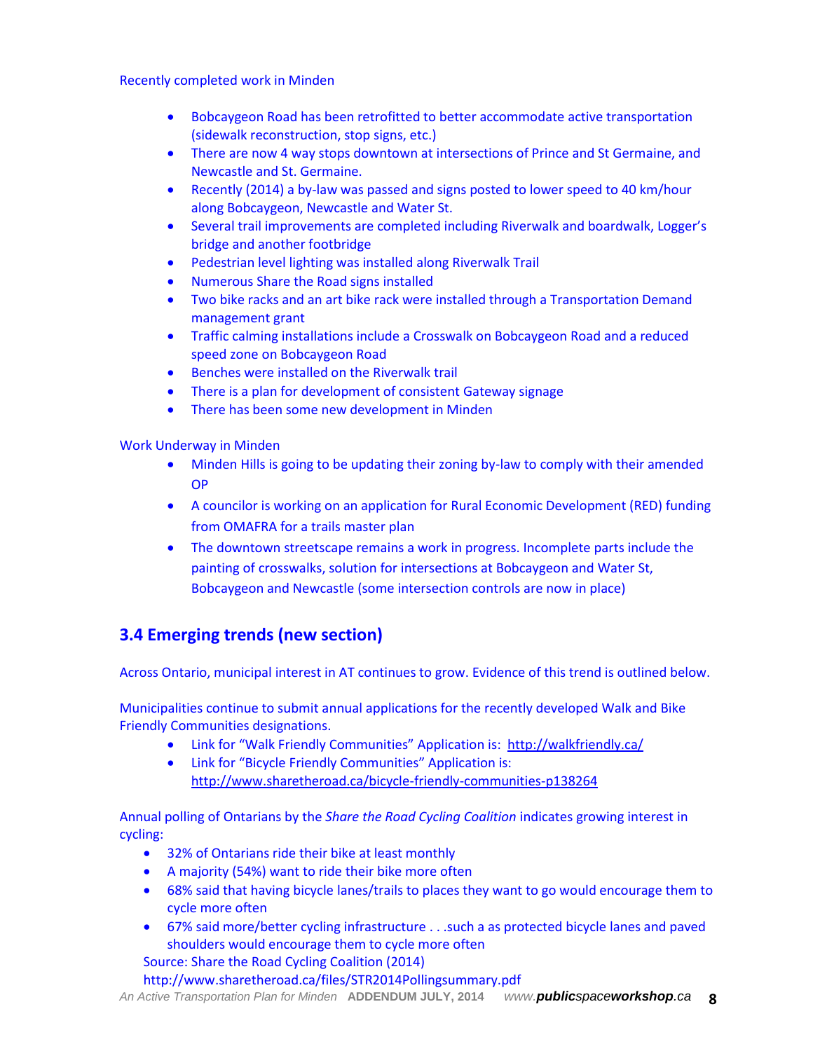Recently completed work in Minden

- Bobcaygeon Road has been retrofitted to better accommodate active transportation (sidewalk reconstruction, stop signs, etc.)
- There are now 4 way stops downtown at intersections of Prince and St Germaine, and Newcastle and St. Germaine.
- Recently (2014) a by-law was passed and signs posted to lower speed to 40 km/hour along Bobcaygeon, Newcastle and Water St.
- Several trail improvements are completed including Riverwalk and boardwalk, Logger's bridge and another footbridge
- Pedestrian level lighting was installed along Riverwalk Trail
- Numerous Share the Road signs installed
- Two bike racks and an art bike rack were installed through a Transportation Demand management grant
- Traffic calming installations include a Crosswalk on Bobcaygeon Road and a reduced speed zone on Bobcaygeon Road
- **•** Benches were installed on the Riverwalk trail
- There is a plan for development of consistent Gateway signage
- There has been some new development in Minden

Work Underway in Minden

- Minden Hills is going to be updating their zoning by-law to comply with their amended OP
- A councilor is working on an application for Rural Economic Development (RED) funding from OMAFRA for a trails master plan
- The downtown streetscape remains a work in progress. Incomplete parts include the painting of crosswalks, solution for intersections at Bobcaygeon and Water St, Bobcaygeon and Newcastle (some intersection controls are now in place)

## **3.4 Emerging trends (new section)**

Across Ontario, municipal interest in AT continues to grow. Evidence of this trend is outlined below.

Municipalities continue to submit annual applications for the recently developed Walk and Bike Friendly Communities designations.

- Link for "Walk Friendly Communities" Application is: <http://walkfriendly.ca/>
- Link for "Bicycle Friendly Communities" Application is: <http://www.sharetheroad.ca/bicycle-friendly-communities-p138264>

Annual polling of Ontarians by the *Share the Road Cycling Coalition* indicates growing interest in cycling:

- 32% of Ontarians ride their bike at least monthly
- A majority (54%) want to ride their bike more often
- 68% said that having bicycle lanes/trails to places they want to go would encourage them to cycle more often
- 67% said more/better cycling infrastructure . . .such a as protected bicycle lanes and paved shoulders would encourage them to cycle more often

Source: Share the Road Cycling Coalition (2014)

http://www.sharetheroad.ca/files/STR2014Pollingsummary.pdf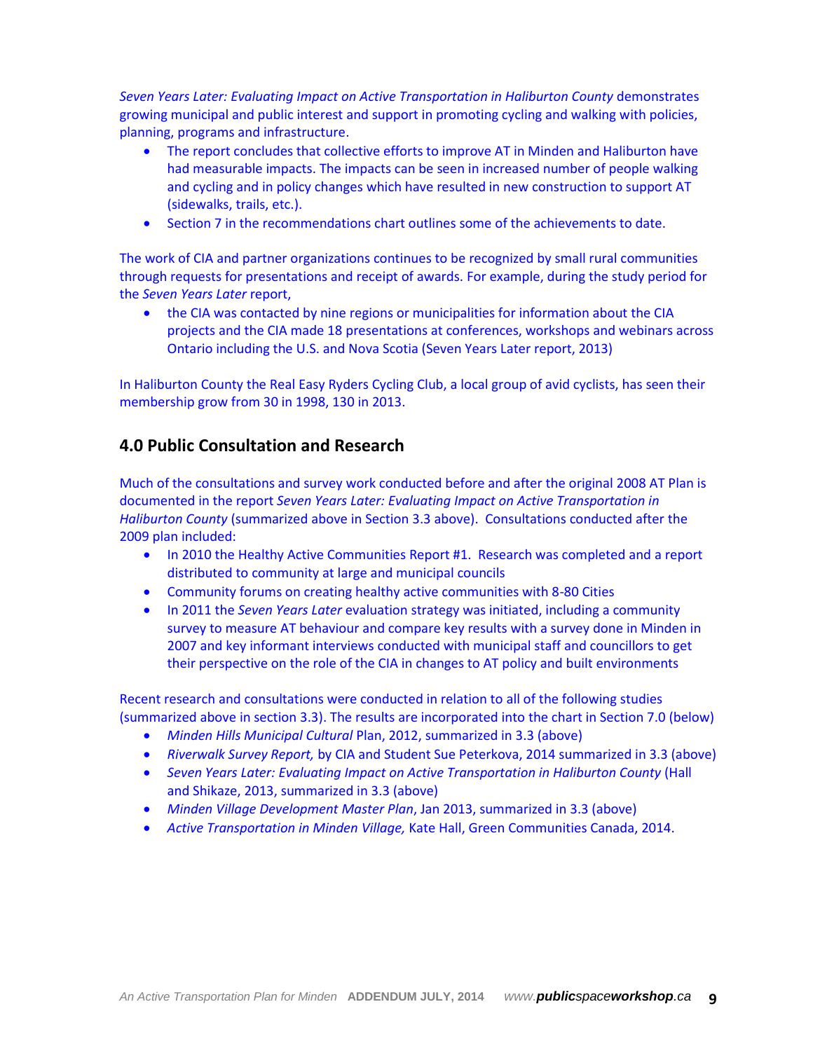*Seven Years Later: Evaluating Impact on Active Transportation in Haliburton County* demonstrates growing municipal and public interest and support in promoting cycling and walking with policies, planning, programs and infrastructure.

- The report concludes that collective efforts to improve AT in Minden and Haliburton have had measurable impacts. The impacts can be seen in increased number of people walking and cycling and in policy changes which have resulted in new construction to support AT (sidewalks, trails, etc.).
- Section 7 in the recommendations chart outlines some of the achievements to date.

The work of CIA and partner organizations continues to be recognized by small rural communities through requests for presentations and receipt of awards. For example, during the study period for the *Seven Years Later* report,

 the CIA was contacted by nine regions or municipalities for information about the CIA projects and the CIA made 18 presentations at conferences, workshops and webinars across Ontario including the U.S. and Nova Scotia (Seven Years Later report, 2013)

In Haliburton County the Real Easy Ryders Cycling Club, a local group of avid cyclists, has seen their membership grow from 30 in 1998, 130 in 2013.

# **4.0 Public Consultation and Research**

Much of the consultations and survey work conducted before and after the original 2008 AT Plan is documented in the report *Seven Years Later: Evaluating Impact on Active Transportation in Haliburton County* (summarized above in Section 3.3 above). Consultations conducted after the 2009 plan included:

- In 2010 the Healthy Active Communities Report #1. Research was completed and a report distributed to community at large and municipal councils
- Community forums on creating healthy active communities with 8-80 Cities
- In 2011 the *Seven Years Later* evaluation strategy was initiated, including a community survey to measure AT behaviour and compare key results with a survey done in Minden in 2007 and key informant interviews conducted with municipal staff and councillors to get their perspective on the role of the CIA in changes to AT policy and built environments

Recent research and consultations were conducted in relation to all of the following studies (summarized above in section 3.3). The results are incorporated into the chart in Section 7.0 (below)

- *Minden Hills Municipal Cultural* Plan, 2012, summarized in 3.3 (above)
- *Riverwalk Survey Report,* by CIA and Student Sue Peterkova, 2014 summarized in 3.3 (above)
- *Seven Years Later: Evaluating Impact on Active Transportation in Haliburton County* (Hall and Shikaze, 2013, summarized in 3.3 (above)
- *Minden Village Development Master Plan*, Jan 2013, summarized in 3.3 (above)
- *Active Transportation in Minden Village,* Kate Hall, Green Communities Canada, 2014.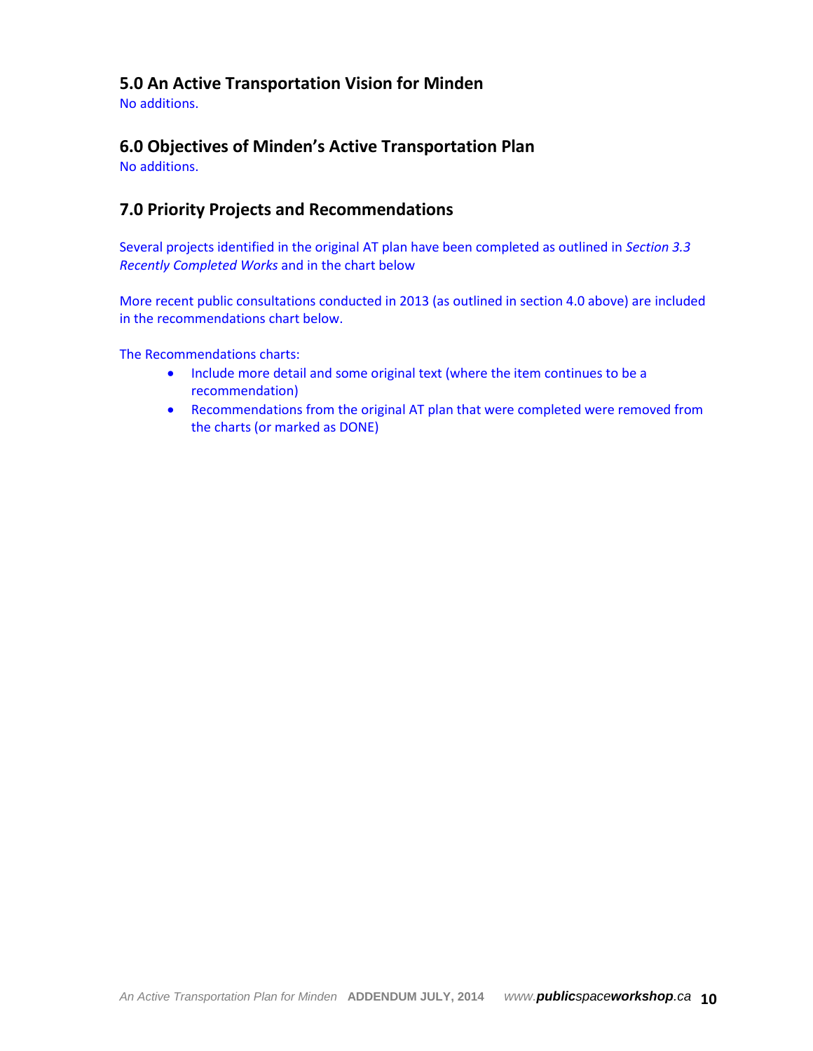# **5.0 An Active Transportation Vision for Minden**

No additions.

# **6.0 Objectives of Minden's Active Transportation Plan**

No additions.

# **7.0 Priority Projects and Recommendations**

Several projects identified in the original AT plan have been completed as outlined in *Section 3.3 Recently Completed Works* and in the chart below

More recent public consultations conducted in 2013 (as outlined in section 4.0 above) are included in the recommendations chart below.

The Recommendations charts:

- Include more detail and some original text (where the item continues to be a recommendation)
- Recommendations from the original AT plan that were completed were removed from the charts (or marked as DONE)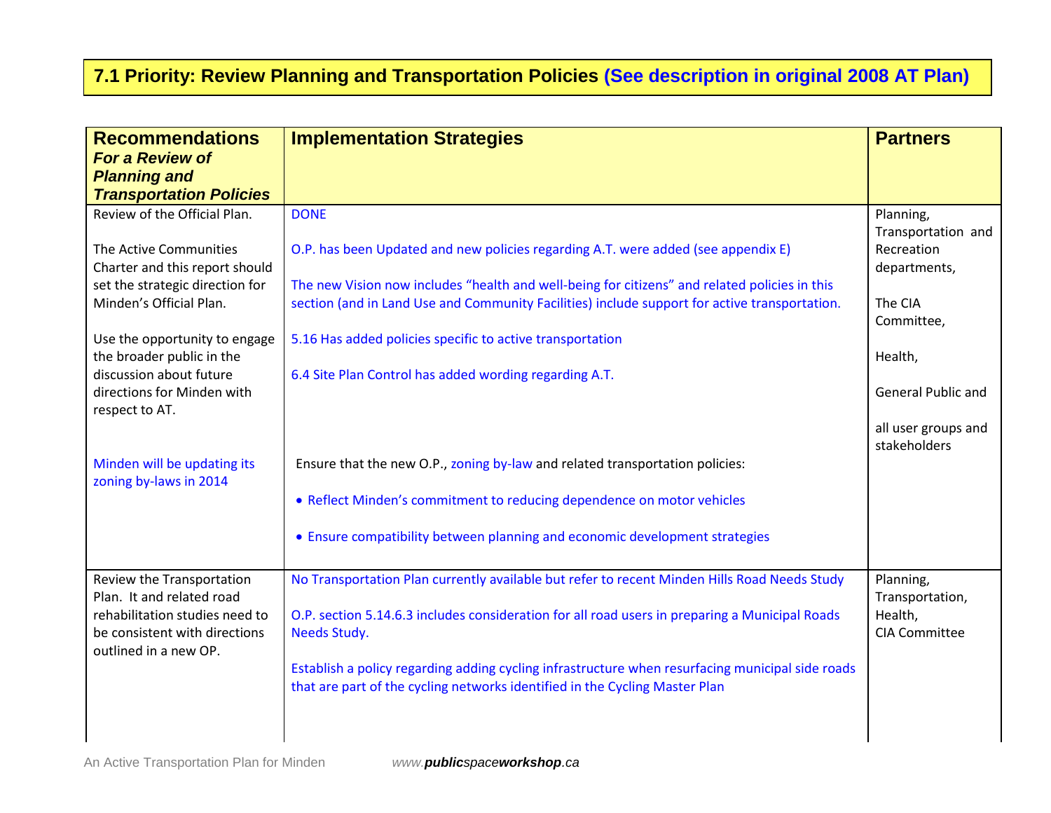# **7.1 Priority: Review Planning and Transportation Policies (See description in original 2008 AT Plan)**

| <b>Recommendations</b><br><b>For a Review of</b><br><b>Planning and</b><br><b>Transportation Policies</b> | <b>Implementation Strategies</b>                                                                                                                                                               | <b>Partners</b>                     |
|-----------------------------------------------------------------------------------------------------------|------------------------------------------------------------------------------------------------------------------------------------------------------------------------------------------------|-------------------------------------|
| Review of the Official Plan.                                                                              | <b>DONE</b>                                                                                                                                                                                    | Planning,<br>Transportation and     |
| The Active Communities<br>Charter and this report should                                                  | O.P. has been Updated and new policies regarding A.T. were added (see appendix E)                                                                                                              | Recreation<br>departments,          |
| set the strategic direction for<br>Minden's Official Plan.                                                | The new Vision now includes "health and well-being for citizens" and related policies in this<br>section (and in Land Use and Community Facilities) include support for active transportation. | The CIA                             |
| Use the opportunity to engage                                                                             | 5.16 Has added policies specific to active transportation                                                                                                                                      | Committee,                          |
| the broader public in the<br>discussion about future                                                      | 6.4 Site Plan Control has added wording regarding A.T.                                                                                                                                         | Health,                             |
| directions for Minden with<br>respect to AT.                                                              |                                                                                                                                                                                                | General Public and                  |
|                                                                                                           |                                                                                                                                                                                                | all user groups and<br>stakeholders |
| Minden will be updating its<br>zoning by-laws in 2014                                                     | Ensure that the new O.P., zoning by-law and related transportation policies:                                                                                                                   |                                     |
|                                                                                                           | • Reflect Minden's commitment to reducing dependence on motor vehicles                                                                                                                         |                                     |
|                                                                                                           | • Ensure compatibility between planning and economic development strategies                                                                                                                    |                                     |
| Review the Transportation<br>Plan. It and related road                                                    | No Transportation Plan currently available but refer to recent Minden Hills Road Needs Study                                                                                                   | Planning,<br>Transportation,        |
| rehabilitation studies need to<br>be consistent with directions                                           | O.P. section 5.14.6.3 includes consideration for all road users in preparing a Municipal Roads<br>Needs Study.                                                                                 | Health,<br><b>CIA Committee</b>     |
| outlined in a new OP.                                                                                     | Establish a policy regarding adding cycling infrastructure when resurfacing municipal side roads<br>that are part of the cycling networks identified in the Cycling Master Plan                |                                     |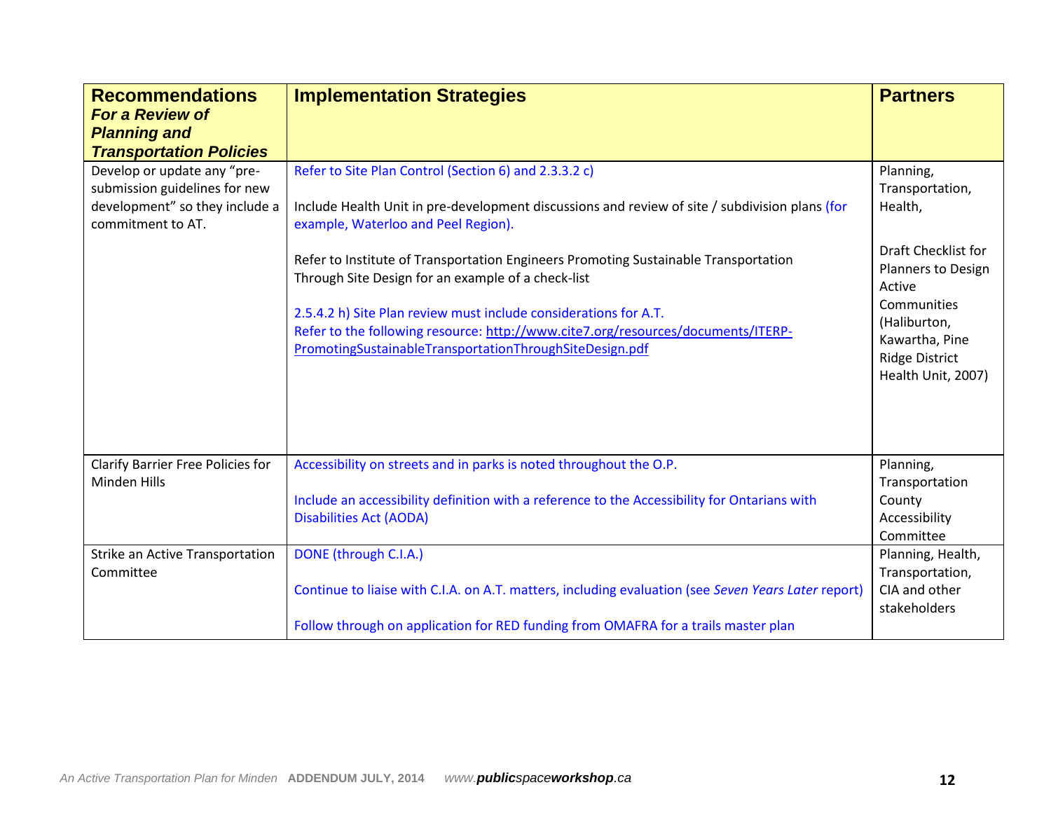| <b>Recommendations</b><br><b>For a Review of</b><br><b>Planning and</b><br><b>Transportation Policies</b>           | <b>Implementation Strategies</b>                                                                                                                                                                                                                                                                                                                                                                                                                                                                                                                               | <b>Partners</b>                                                                                                                                                                                |
|---------------------------------------------------------------------------------------------------------------------|----------------------------------------------------------------------------------------------------------------------------------------------------------------------------------------------------------------------------------------------------------------------------------------------------------------------------------------------------------------------------------------------------------------------------------------------------------------------------------------------------------------------------------------------------------------|------------------------------------------------------------------------------------------------------------------------------------------------------------------------------------------------|
| Develop or update any "pre-<br>submission guidelines for new<br>development" so they include a<br>commitment to AT. | Refer to Site Plan Control (Section 6) and 2.3.3.2 c)<br>Include Health Unit in pre-development discussions and review of site / subdivision plans (for<br>example, Waterloo and Peel Region).<br>Refer to Institute of Transportation Engineers Promoting Sustainable Transportation<br>Through Site Design for an example of a check-list<br>2.5.4.2 h) Site Plan review must include considerations for A.T.<br>Refer to the following resource: http://www.cite7.org/resources/documents/ITERP-<br>PromotingSustainableTransportationThroughSiteDesign.pdf | Planning,<br>Transportation,<br>Health,<br>Draft Checklist for<br>Planners to Design<br>Active<br>Communities<br>(Haliburton,<br>Kawartha, Pine<br><b>Ridge District</b><br>Health Unit, 2007) |
| Clarify Barrier Free Policies for<br>Minden Hills<br>Strike an Active Transportation                                | Accessibility on streets and in parks is noted throughout the O.P.<br>Include an accessibility definition with a reference to the Accessibility for Ontarians with<br><b>Disabilities Act (AODA)</b><br>DONE (through C.I.A.)                                                                                                                                                                                                                                                                                                                                  | Planning,<br>Transportation<br>County<br>Accessibility<br>Committee<br>Planning, Health,                                                                                                       |
| Committee                                                                                                           | Continue to liaise with C.I.A. on A.T. matters, including evaluation (see Seven Years Later report)<br>Follow through on application for RED funding from OMAFRA for a trails master plan                                                                                                                                                                                                                                                                                                                                                                      | Transportation,<br>CIA and other<br>stakeholders                                                                                                                                               |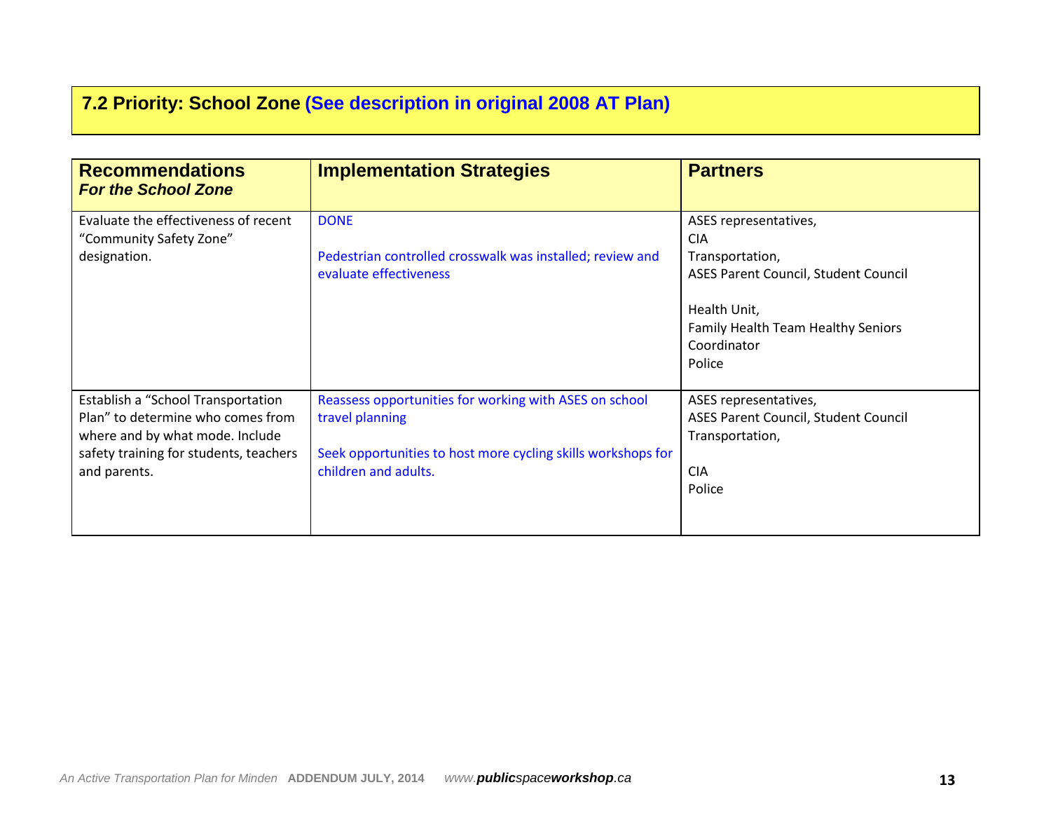# **7.2 Priority: School Zone (See description in original 2008 AT Plan)**

| <b>Recommendations</b><br><b>For the School Zone</b>                                                                                                                 | <b>Implementation Strategies</b>                                                                                                                                  | <b>Partners</b>                                                                                                                                                                      |
|----------------------------------------------------------------------------------------------------------------------------------------------------------------------|-------------------------------------------------------------------------------------------------------------------------------------------------------------------|--------------------------------------------------------------------------------------------------------------------------------------------------------------------------------------|
| Evaluate the effectiveness of recent<br>"Community Safety Zone"<br>designation.                                                                                      | <b>DONE</b><br>Pedestrian controlled crosswalk was installed; review and<br>evaluate effectiveness                                                                | ASES representatives,<br><b>CIA</b><br>Transportation,<br>ASES Parent Council, Student Council<br>Health Unit,<br><b>Family Health Team Healthy Seniors</b><br>Coordinator<br>Police |
| Establish a "School Transportation<br>Plan" to determine who comes from<br>where and by what mode. Include<br>safety training for students, teachers<br>and parents. | Reassess opportunities for working with ASES on school<br>travel planning<br>Seek opportunities to host more cycling skills workshops for<br>children and adults. | ASES representatives,<br>ASES Parent Council, Student Council<br>Transportation,<br><b>CIA</b><br>Police                                                                             |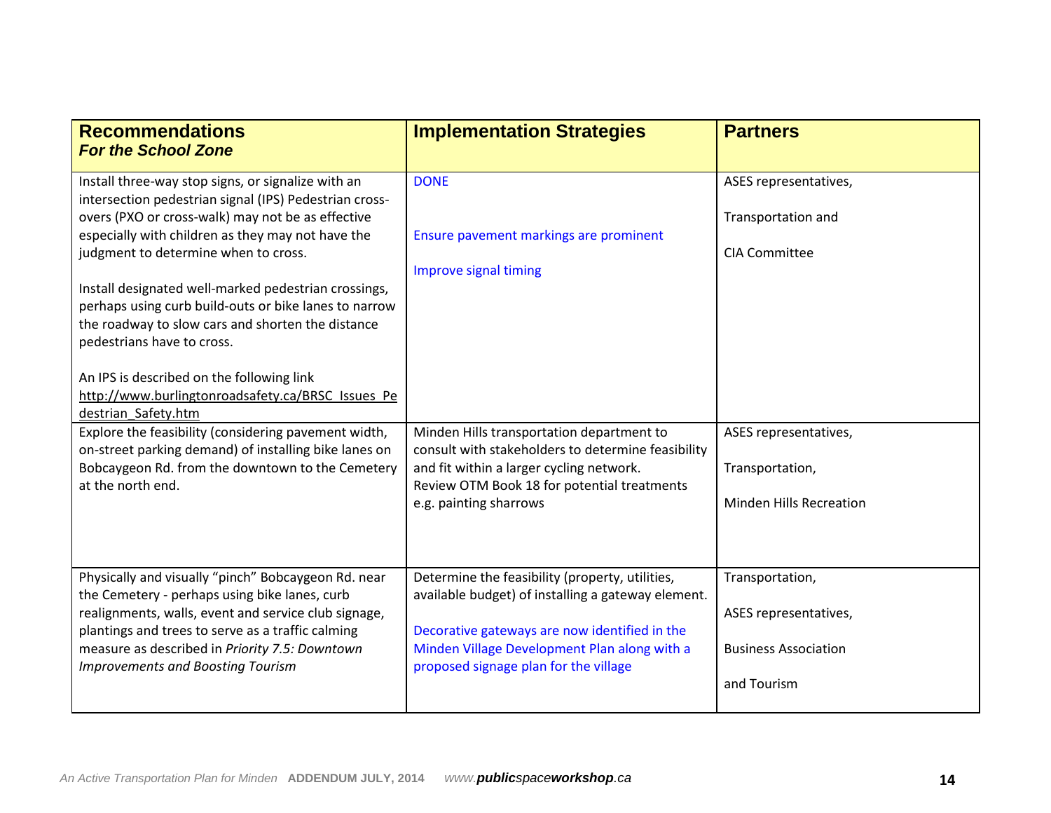| <b>Recommendations</b><br><b>For the School Zone</b>                                                                                                                                                                                                                                                                                                                                                                                                                                                                                                                 | <b>Implementation Strategies</b>                                                                                                                                                                                                                | <b>Partners</b>                                                                        |
|----------------------------------------------------------------------------------------------------------------------------------------------------------------------------------------------------------------------------------------------------------------------------------------------------------------------------------------------------------------------------------------------------------------------------------------------------------------------------------------------------------------------------------------------------------------------|-------------------------------------------------------------------------------------------------------------------------------------------------------------------------------------------------------------------------------------------------|----------------------------------------------------------------------------------------|
| Install three-way stop signs, or signalize with an<br>intersection pedestrian signal (IPS) Pedestrian cross-<br>overs (PXO or cross-walk) may not be as effective<br>especially with children as they may not have the<br>judgment to determine when to cross.<br>Install designated well-marked pedestrian crossings,<br>perhaps using curb build-outs or bike lanes to narrow<br>the roadway to slow cars and shorten the distance<br>pedestrians have to cross.<br>An IPS is described on the following link<br>http://www.burlingtonroadsafety.ca/BRSC Issues Pe | <b>DONE</b><br>Ensure pavement markings are prominent<br>Improve signal timing                                                                                                                                                                  | ASES representatives,<br>Transportation and<br><b>CIA Committee</b>                    |
| destrian Safety.htm<br>Explore the feasibility (considering pavement width,<br>on-street parking demand) of installing bike lanes on<br>Bobcaygeon Rd. from the downtown to the Cemetery<br>at the north end.                                                                                                                                                                                                                                                                                                                                                        | Minden Hills transportation department to<br>consult with stakeholders to determine feasibility<br>and fit within a larger cycling network.<br>Review OTM Book 18 for potential treatments<br>e.g. painting sharrows                            | ASES representatives,<br>Transportation,<br><b>Minden Hills Recreation</b>             |
| Physically and visually "pinch" Bobcaygeon Rd. near<br>the Cemetery - perhaps using bike lanes, curb<br>realignments, walls, event and service club signage,<br>plantings and trees to serve as a traffic calming<br>measure as described in Priority 7.5: Downtown<br><b>Improvements and Boosting Tourism</b>                                                                                                                                                                                                                                                      | Determine the feasibility (property, utilities,<br>available budget) of installing a gateway element.<br>Decorative gateways are now identified in the<br>Minden Village Development Plan along with a<br>proposed signage plan for the village | Transportation,<br>ASES representatives,<br><b>Business Association</b><br>and Tourism |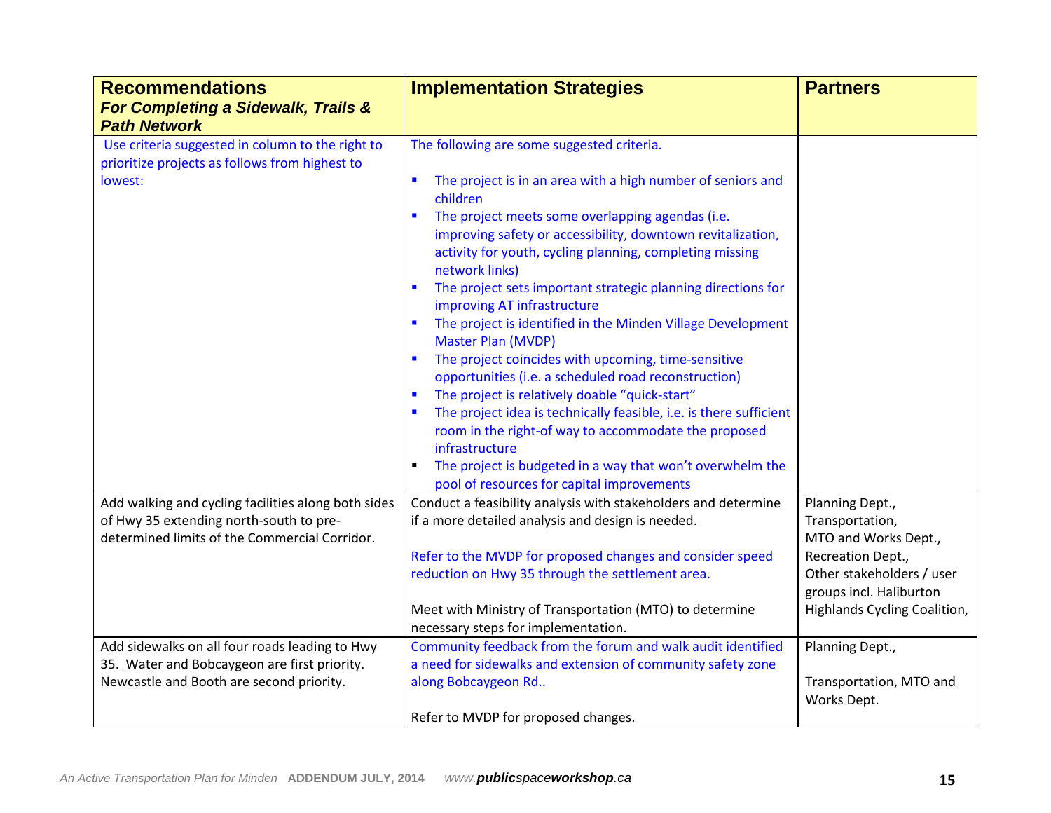| <b>Recommendations</b>                                                                                                                          | <b>Implementation Strategies</b>                                                                                                                                                                                                                                                                                                                                                                                                                                                                                                                                                                                                                                                                                                                                                                                            | <b>Partners</b>                                                                                              |
|-------------------------------------------------------------------------------------------------------------------------------------------------|-----------------------------------------------------------------------------------------------------------------------------------------------------------------------------------------------------------------------------------------------------------------------------------------------------------------------------------------------------------------------------------------------------------------------------------------------------------------------------------------------------------------------------------------------------------------------------------------------------------------------------------------------------------------------------------------------------------------------------------------------------------------------------------------------------------------------------|--------------------------------------------------------------------------------------------------------------|
| For Completing a Sidewalk, Trails &<br><b>Path Network</b>                                                                                      |                                                                                                                                                                                                                                                                                                                                                                                                                                                                                                                                                                                                                                                                                                                                                                                                                             |                                                                                                              |
| Use criteria suggested in column to the right to<br>prioritize projects as follows from highest to                                              | The following are some suggested criteria.                                                                                                                                                                                                                                                                                                                                                                                                                                                                                                                                                                                                                                                                                                                                                                                  |                                                                                                              |
| lowest:                                                                                                                                         | The project is in an area with a high number of seniors and<br>п<br>children<br>The project meets some overlapping agendas (i.e.<br>improving safety or accessibility, downtown revitalization,<br>activity for youth, cycling planning, completing missing<br>network links)<br>The project sets important strategic planning directions for<br>$\blacksquare$<br>improving AT infrastructure<br>The project is identified in the Minden Village Development<br>п<br>Master Plan (MVDP)<br>The project coincides with upcoming, time-sensitive<br>$\blacksquare$<br>opportunities (i.e. a scheduled road reconstruction)<br>The project is relatively doable "quick-start"<br>The project idea is technically feasible, i.e. is there sufficient<br>room in the right-of way to accommodate the proposed<br>infrastructure |                                                                                                              |
|                                                                                                                                                 | The project is budgeted in a way that won't overwhelm the<br>pool of resources for capital improvements                                                                                                                                                                                                                                                                                                                                                                                                                                                                                                                                                                                                                                                                                                                     |                                                                                                              |
| Add walking and cycling facilities along both sides<br>of Hwy 35 extending north-south to pre-<br>determined limits of the Commercial Corridor. | Conduct a feasibility analysis with stakeholders and determine<br>if a more detailed analysis and design is needed.<br>Refer to the MVDP for proposed changes and consider speed<br>reduction on Hwy 35 through the settlement area.                                                                                                                                                                                                                                                                                                                                                                                                                                                                                                                                                                                        | Planning Dept.,<br>Transportation,<br>MTO and Works Dept.,<br>Recreation Dept.,<br>Other stakeholders / user |
|                                                                                                                                                 | Meet with Ministry of Transportation (MTO) to determine<br>necessary steps for implementation.                                                                                                                                                                                                                                                                                                                                                                                                                                                                                                                                                                                                                                                                                                                              | groups incl. Haliburton<br>Highlands Cycling Coalition,                                                      |
| Add sidewalks on all four roads leading to Hwy<br>35. Water and Bobcaygeon are first priority.                                                  | Community feedback from the forum and walk audit identified<br>a need for sidewalks and extension of community safety zone                                                                                                                                                                                                                                                                                                                                                                                                                                                                                                                                                                                                                                                                                                  | Planning Dept.,                                                                                              |
| Newcastle and Booth are second priority.                                                                                                        | along Bobcaygeon Rd                                                                                                                                                                                                                                                                                                                                                                                                                                                                                                                                                                                                                                                                                                                                                                                                         | Transportation, MTO and<br>Works Dept.                                                                       |
|                                                                                                                                                 | Refer to MVDP for proposed changes.                                                                                                                                                                                                                                                                                                                                                                                                                                                                                                                                                                                                                                                                                                                                                                                         |                                                                                                              |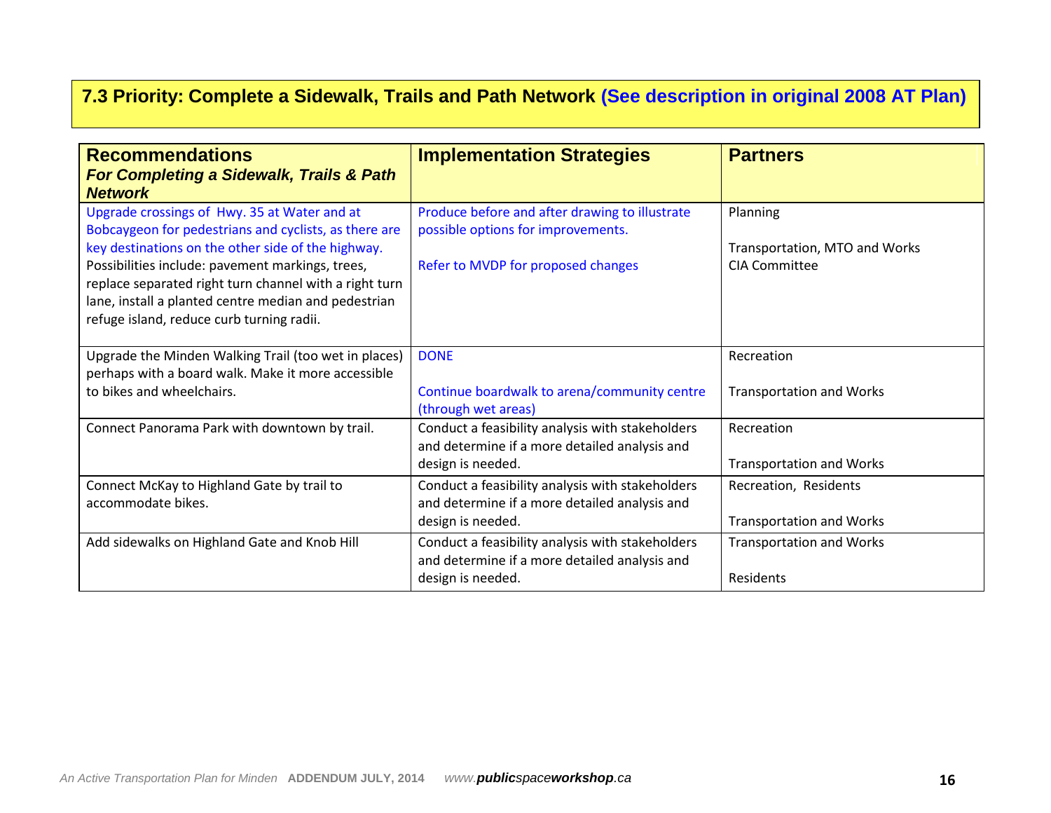# **7.3 Priority: Complete a Sidewalk, Trails and Path Network (See description in original 2008 AT Plan)**

| <b>Recommendations</b><br>For Completing a Sidewalk, Trails & Path<br><b>Network</b>                                                                                                                                                                                                                                                                                           | <b>Implementation Strategies</b>                                                                                           | <b>Partners</b>                                                   |
|--------------------------------------------------------------------------------------------------------------------------------------------------------------------------------------------------------------------------------------------------------------------------------------------------------------------------------------------------------------------------------|----------------------------------------------------------------------------------------------------------------------------|-------------------------------------------------------------------|
| Upgrade crossings of Hwy. 35 at Water and at<br>Bobcaygeon for pedestrians and cyclists, as there are<br>key destinations on the other side of the highway.<br>Possibilities include: pavement markings, trees,<br>replace separated right turn channel with a right turn<br>lane, install a planted centre median and pedestrian<br>refuge island, reduce curb turning radii. | Produce before and after drawing to illustrate<br>possible options for improvements.<br>Refer to MVDP for proposed changes | Planning<br>Transportation, MTO and Works<br><b>CIA Committee</b> |
| Upgrade the Minden Walking Trail (too wet in places)<br>perhaps with a board walk. Make it more accessible<br>to bikes and wheelchairs.                                                                                                                                                                                                                                        | <b>DONE</b><br>Continue boardwalk to arena/community centre<br>(through wet areas)                                         | Recreation<br><b>Transportation and Works</b>                     |
| Connect Panorama Park with downtown by trail.                                                                                                                                                                                                                                                                                                                                  | Conduct a feasibility analysis with stakeholders<br>and determine if a more detailed analysis and<br>design is needed.     | Recreation<br><b>Transportation and Works</b>                     |
| Connect McKay to Highland Gate by trail to<br>accommodate bikes.                                                                                                                                                                                                                                                                                                               | Conduct a feasibility analysis with stakeholders<br>and determine if a more detailed analysis and<br>design is needed.     | Recreation, Residents<br><b>Transportation and Works</b>          |
| Add sidewalks on Highland Gate and Knob Hill                                                                                                                                                                                                                                                                                                                                   | Conduct a feasibility analysis with stakeholders<br>and determine if a more detailed analysis and<br>design is needed.     | <b>Transportation and Works</b><br>Residents                      |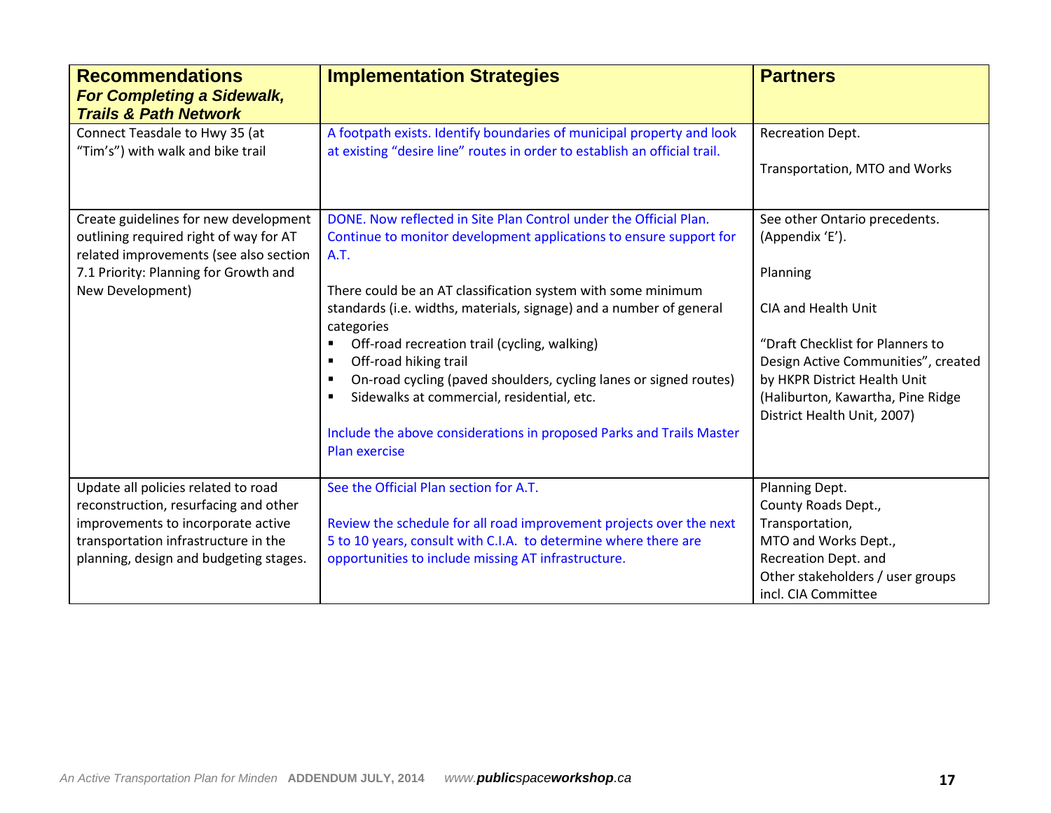| <b>Recommendations</b><br><b>For Completing a Sidewalk,</b><br><b>Trails &amp; Path Network</b>                           | <b>Implementation Strategies</b>                                                                                                                   | <b>Partners</b>                                                                                  |
|---------------------------------------------------------------------------------------------------------------------------|----------------------------------------------------------------------------------------------------------------------------------------------------|--------------------------------------------------------------------------------------------------|
| Connect Teasdale to Hwy 35 (at<br>"Tim's") with walk and bike trail                                                       | A footpath exists. Identify boundaries of municipal property and look<br>at existing "desire line" routes in order to establish an official trail. | <b>Recreation Dept.</b>                                                                          |
|                                                                                                                           |                                                                                                                                                    | Transportation, MTO and Works                                                                    |
| Create guidelines for new development<br>outlining required right of way for AT<br>related improvements (see also section | DONE. Now reflected in Site Plan Control under the Official Plan.<br>Continue to monitor development applications to ensure support for<br>A.T.    | See other Ontario precedents.<br>(Appendix 'E').                                                 |
| 7.1 Priority: Planning for Growth and<br>New Development)                                                                 | There could be an AT classification system with some minimum                                                                                       | Planning                                                                                         |
|                                                                                                                           | standards (i.e. widths, materials, signage) and a number of general<br>categories                                                                  | CIA and Health Unit                                                                              |
|                                                                                                                           | Off-road recreation trail (cycling, walking)<br>Off-road hiking trail<br>٠                                                                         | "Draft Checklist for Planners to<br>Design Active Communities", created                          |
|                                                                                                                           | On-road cycling (paved shoulders, cycling lanes or signed routes)<br>٠<br>Sidewalks at commercial, residential, etc.<br>٠                          | by HKPR District Health Unit<br>(Haliburton, Kawartha, Pine Ridge<br>District Health Unit, 2007) |
|                                                                                                                           | Include the above considerations in proposed Parks and Trails Master<br><b>Plan exercise</b>                                                       |                                                                                                  |
| Update all policies related to road                                                                                       | See the Official Plan section for A.T.                                                                                                             | Planning Dept.                                                                                   |
| reconstruction, resurfacing and other<br>improvements to incorporate active                                               | Review the schedule for all road improvement projects over the next                                                                                | County Roads Dept.,<br>Transportation,                                                           |
| transportation infrastructure in the                                                                                      | 5 to 10 years, consult with C.I.A. to determine where there are                                                                                    | MTO and Works Dept.,                                                                             |
| planning, design and budgeting stages.                                                                                    | opportunities to include missing AT infrastructure.                                                                                                | Recreation Dept. and                                                                             |
|                                                                                                                           |                                                                                                                                                    | Other stakeholders / user groups                                                                 |
|                                                                                                                           |                                                                                                                                                    | incl. CIA Committee                                                                              |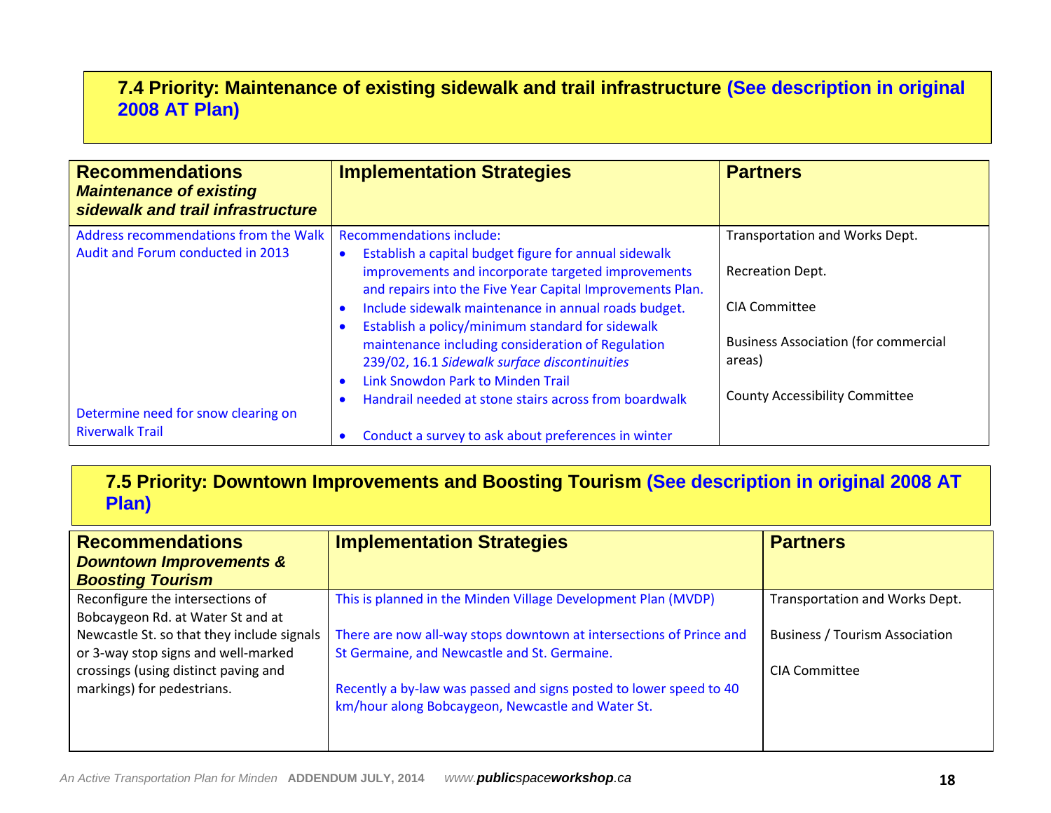# **7.4 Priority: Maintenance of existing sidewalk and trail infrastructure (See description in original 2008 AT Plan)**

| <b>Recommendations</b><br><b>Maintenance of existing</b><br>sidewalk and trail infrastructure | <b>Implementation Strategies</b>                                                                                | <b>Partners</b>                                       |
|-----------------------------------------------------------------------------------------------|-----------------------------------------------------------------------------------------------------------------|-------------------------------------------------------|
| Address recommendations from the Walk<br>Audit and Forum conducted in 2013                    | <b>Recommendations include:</b><br>Establish a capital budget figure for annual sidewalk<br>$\bullet$           | Transportation and Works Dept.                        |
|                                                                                               | improvements and incorporate targeted improvements<br>and repairs into the Five Year Capital Improvements Plan. | <b>Recreation Dept.</b>                               |
|                                                                                               | Include sidewalk maintenance in annual roads budget.<br>Establish a policy/minimum standard for sidewalk        | CIA Committee                                         |
|                                                                                               | maintenance including consideration of Regulation<br>239/02, 16.1 Sidewalk surface discontinuities              | <b>Business Association (for commercial</b><br>areas) |
| Determine need for snow clearing on                                                           | Link Snowdon Park to Minden Trail<br>$\bullet$<br>Handrail needed at stone stairs across from boardwalk         | <b>County Accessibility Committee</b>                 |
| <b>Riverwalk Trail</b>                                                                        | Conduct a survey to ask about preferences in winter                                                             |                                                       |

# **7.5 Priority: Downtown Improvements and Boosting Tourism (See description in original 2008 AT Plan)**

| <b>Recommendations</b><br><b>Downtown Improvements &amp;</b> | <b>Implementation Strategies</b>                                    | <b>Partners</b>                       |
|--------------------------------------------------------------|---------------------------------------------------------------------|---------------------------------------|
| <b>Boosting Tourism</b>                                      |                                                                     |                                       |
| Reconfigure the intersections of                             | This is planned in the Minden Village Development Plan (MVDP)       | Transportation and Works Dept.        |
| Bobcaygeon Rd. at Water St and at                            |                                                                     |                                       |
| Newcastle St. so that they include signals                   | There are now all-way stops downtown at intersections of Prince and | <b>Business / Tourism Association</b> |
| or 3-way stop signs and well-marked                          | St Germaine, and Newcastle and St. Germaine.                        |                                       |
| crossings (using distinct paving and                         |                                                                     | <b>CIA Committee</b>                  |
| markings) for pedestrians.                                   | Recently a by-law was passed and signs posted to lower speed to 40  |                                       |
|                                                              | km/hour along Bobcaygeon, Newcastle and Water St.                   |                                       |
|                                                              |                                                                     |                                       |
|                                                              |                                                                     |                                       |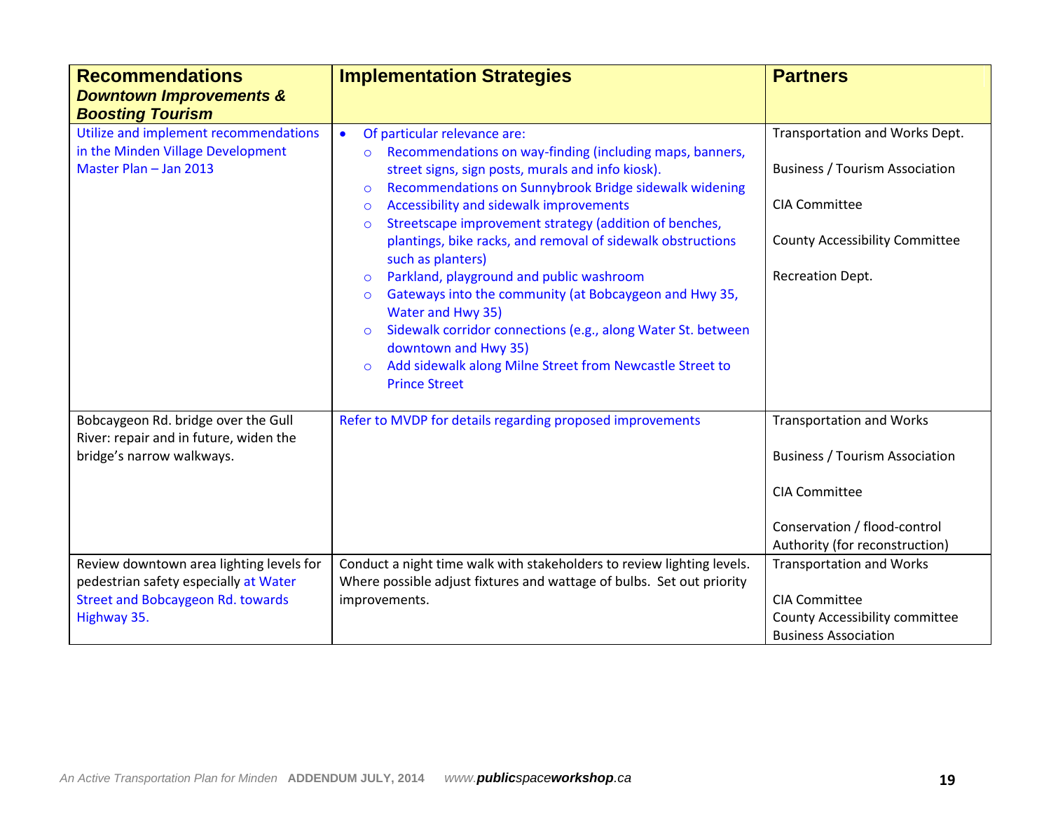| <b>Recommendations</b><br><b>Downtown Improvements &amp;</b><br><b>Boosting Tourism</b> | <b>Implementation Strategies</b>                                                                                                                                                                                                                                                                                                     | <b>Partners</b>                                                                              |
|-----------------------------------------------------------------------------------------|--------------------------------------------------------------------------------------------------------------------------------------------------------------------------------------------------------------------------------------------------------------------------------------------------------------------------------------|----------------------------------------------------------------------------------------------|
| Utilize and implement recommendations                                                   | Of particular relevance are:<br>$\bullet$                                                                                                                                                                                                                                                                                            | Transportation and Works Dept.                                                               |
| in the Minden Village Development<br>Master Plan - Jan 2013                             | Recommendations on way-finding (including maps, banners,<br>$\circ$<br>street signs, sign posts, murals and info kiosk).<br>Recommendations on Sunnybrook Bridge sidewalk widening<br>$\circ$                                                                                                                                        | <b>Business / Tourism Association</b>                                                        |
|                                                                                         | Accessibility and sidewalk improvements<br>$\circ$                                                                                                                                                                                                                                                                                   | <b>CIA Committee</b>                                                                         |
|                                                                                         | Streetscape improvement strategy (addition of benches,<br>$\circ$<br>plantings, bike racks, and removal of sidewalk obstructions<br>such as planters)                                                                                                                                                                                | <b>County Accessibility Committee</b>                                                        |
|                                                                                         | Parkland, playground and public washroom<br>$\circ$<br>Gateways into the community (at Bobcaygeon and Hwy 35,<br>$\circ$<br>Water and Hwy 35)<br>Sidewalk corridor connections (e.g., along Water St. between<br>downtown and Hwy 35)<br>Add sidewalk along Milne Street from Newcastle Street to<br>$\circ$<br><b>Prince Street</b> | <b>Recreation Dept.</b>                                                                      |
| Bobcaygeon Rd. bridge over the Gull                                                     | Refer to MVDP for details regarding proposed improvements                                                                                                                                                                                                                                                                            | <b>Transportation and Works</b>                                                              |
| River: repair and in future, widen the<br>bridge's narrow walkways.                     |                                                                                                                                                                                                                                                                                                                                      | <b>Business / Tourism Association</b>                                                        |
|                                                                                         |                                                                                                                                                                                                                                                                                                                                      | <b>CIA Committee</b>                                                                         |
|                                                                                         |                                                                                                                                                                                                                                                                                                                                      | Conservation / flood-control<br>Authority (for reconstruction)                               |
| Review downtown area lighting levels for<br>pedestrian safety especially at Water       | Conduct a night time walk with stakeholders to review lighting levels.<br>Where possible adjust fixtures and wattage of bulbs. Set out priority                                                                                                                                                                                      | <b>Transportation and Works</b>                                                              |
| <b>Street and Bobcaygeon Rd. towards</b><br>Highway 35.                                 | improvements.                                                                                                                                                                                                                                                                                                                        | <b>CIA Committee</b><br><b>County Accessibility committee</b><br><b>Business Association</b> |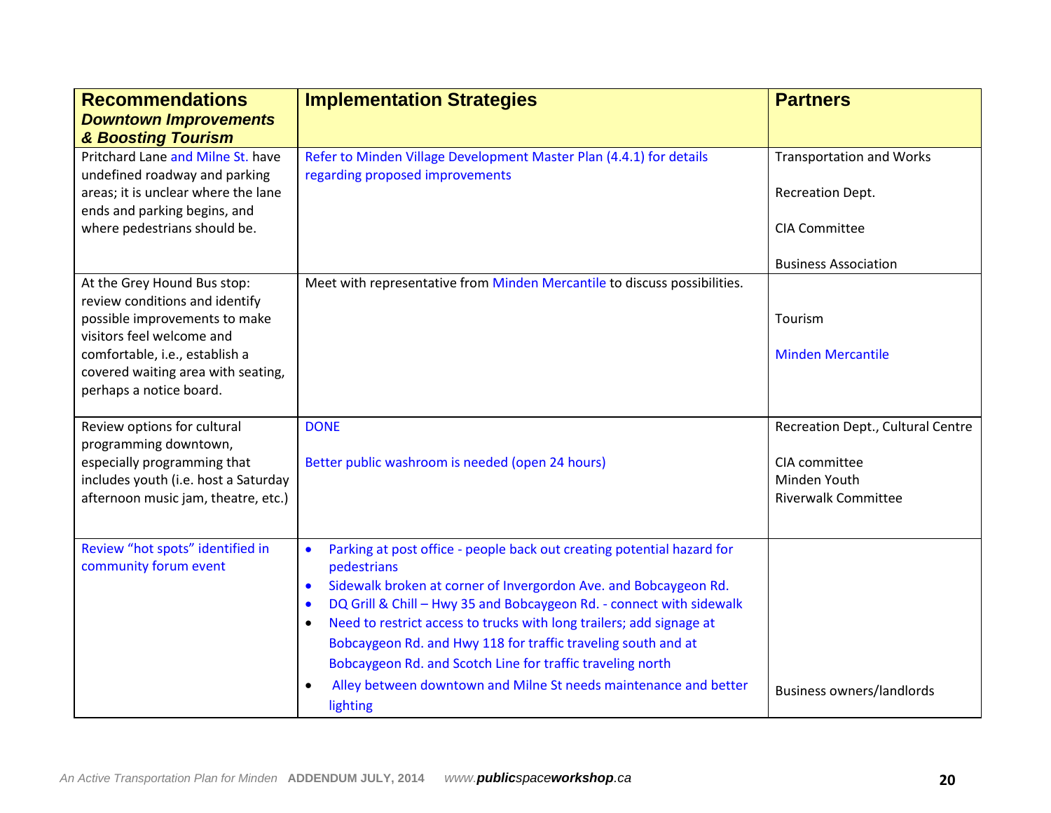| <b>Recommendations</b><br><b>Downtown Improvements</b><br>& Boosting Tourism                              | <b>Implementation Strategies</b>                                                                                                                                   | <b>Partners</b>                                     |
|-----------------------------------------------------------------------------------------------------------|--------------------------------------------------------------------------------------------------------------------------------------------------------------------|-----------------------------------------------------|
| Pritchard Lane and Milne St. have<br>undefined roadway and parking<br>areas; it is unclear where the lane | Refer to Minden Village Development Master Plan (4.4.1) for details<br>regarding proposed improvements                                                             | <b>Transportation and Works</b><br>Recreation Dept. |
| ends and parking begins, and<br>where pedestrians should be.                                              |                                                                                                                                                                    | <b>CIA Committee</b>                                |
|                                                                                                           |                                                                                                                                                                    | <b>Business Association</b>                         |
| At the Grey Hound Bus stop:<br>review conditions and identify                                             | Meet with representative from Minden Mercantile to discuss possibilities.                                                                                          |                                                     |
| possible improvements to make<br>visitors feel welcome and                                                |                                                                                                                                                                    | Tourism                                             |
| comfortable, i.e., establish a                                                                            |                                                                                                                                                                    | <b>Minden Mercantile</b>                            |
| covered waiting area with seating,<br>perhaps a notice board.                                             |                                                                                                                                                                    |                                                     |
| Review options for cultural<br>programming downtown,<br>especially programming that                       | <b>DONE</b><br>Better public washroom is needed (open 24 hours)                                                                                                    | Recreation Dept., Cultural Centre<br>CIA committee  |
| includes youth (i.e. host a Saturday<br>afternoon music jam, theatre, etc.)                               |                                                                                                                                                                    | Minden Youth<br><b>Riverwalk Committee</b>          |
| Review "hot spots" identified in<br>community forum event                                                 | Parking at post office - people back out creating potential hazard for<br>$\bullet$<br>pedestrians                                                                 |                                                     |
|                                                                                                           | Sidewalk broken at corner of Invergordon Ave. and Bobcaygeon Rd.<br>$\bullet$<br>DQ Grill & Chill - Hwy 35 and Bobcaygeon Rd. - connect with sidewalk<br>$\bullet$ |                                                     |
|                                                                                                           | Need to restrict access to trucks with long trailers; add signage at<br>$\bullet$<br>Bobcaygeon Rd. and Hwy 118 for traffic traveling south and at                 |                                                     |
|                                                                                                           | Bobcaygeon Rd. and Scotch Line for traffic traveling north                                                                                                         |                                                     |
|                                                                                                           | Alley between downtown and Milne St needs maintenance and better<br>$\bullet$<br>lighting                                                                          | <b>Business owners/landlords</b>                    |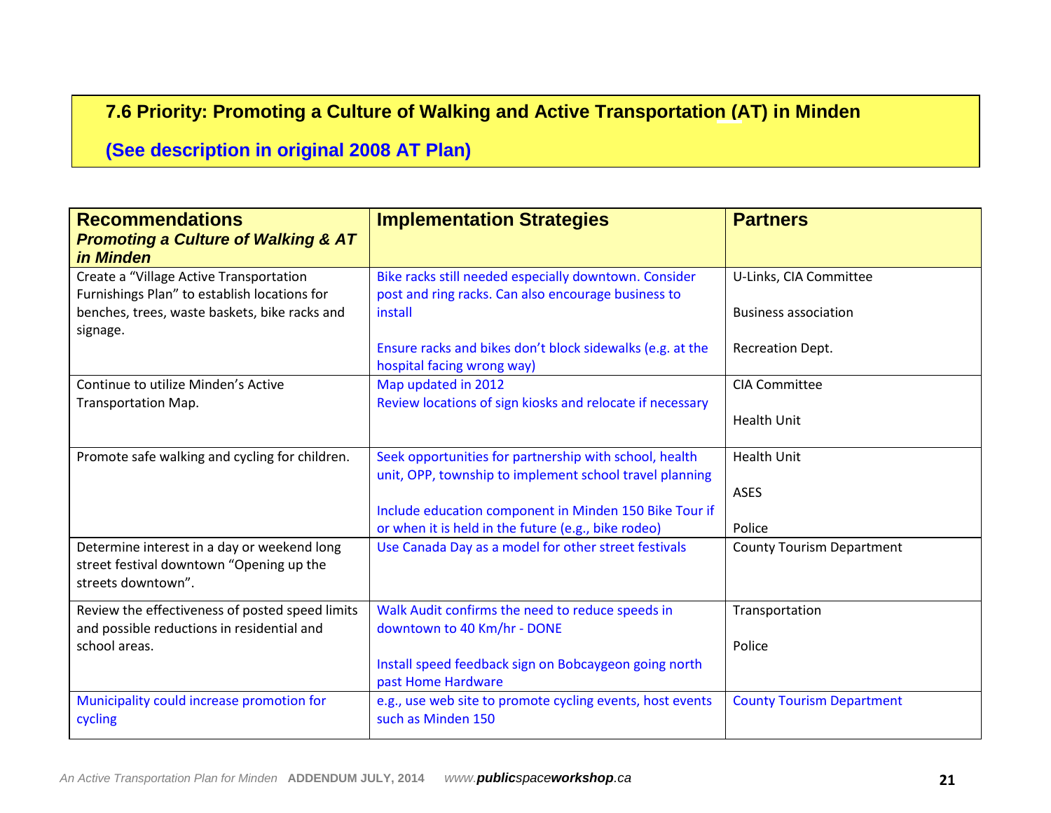# **7.6 Priority: Promoting a Culture of Walking and Active Transportation (AT) in Minden**

# **(See description in original 2008 AT Plan)**

| <b>Recommendations</b><br><b>Promoting a Culture of Walking &amp; AT</b><br>in Minden                         | <b>Implementation Strategies</b>                                                                                  | <b>Partners</b>                  |
|---------------------------------------------------------------------------------------------------------------|-------------------------------------------------------------------------------------------------------------------|----------------------------------|
| Create a "Village Active Transportation<br>Furnishings Plan" to establish locations for                       | Bike racks still needed especially downtown. Consider<br>post and ring racks. Can also encourage business to      | U-Links, CIA Committee           |
| benches, trees, waste baskets, bike racks and<br>signage.                                                     | install                                                                                                           | <b>Business association</b>      |
|                                                                                                               | Ensure racks and bikes don't block sidewalks (e.g. at the<br>hospital facing wrong way)                           | Recreation Dept.                 |
| Continue to utilize Minden's Active<br><b>Transportation Map.</b>                                             | Map updated in 2012<br>Review locations of sign kiosks and relocate if necessary                                  | <b>CIA Committee</b>             |
|                                                                                                               |                                                                                                                   | <b>Health Unit</b>               |
| Promote safe walking and cycling for children.                                                                | Seek opportunities for partnership with school, health<br>unit, OPP, township to implement school travel planning | <b>Health Unit</b>               |
|                                                                                                               |                                                                                                                   | ASES                             |
|                                                                                                               | Include education component in Minden 150 Bike Tour if<br>or when it is held in the future (e.g., bike rodeo)     | Police                           |
| Determine interest in a day or weekend long<br>street festival downtown "Opening up the<br>streets downtown". | Use Canada Day as a model for other street festivals                                                              | <b>County Tourism Department</b> |
| Review the effectiveness of posted speed limits<br>and possible reductions in residential and                 | Walk Audit confirms the need to reduce speeds in<br>downtown to 40 Km/hr - DONE                                   | Transportation                   |
| school areas.                                                                                                 |                                                                                                                   | Police                           |
|                                                                                                               | Install speed feedback sign on Bobcaygeon going north<br>past Home Hardware                                       |                                  |
| Municipality could increase promotion for<br>cycling                                                          | e.g., use web site to promote cycling events, host events<br>such as Minden 150                                   | <b>County Tourism Department</b> |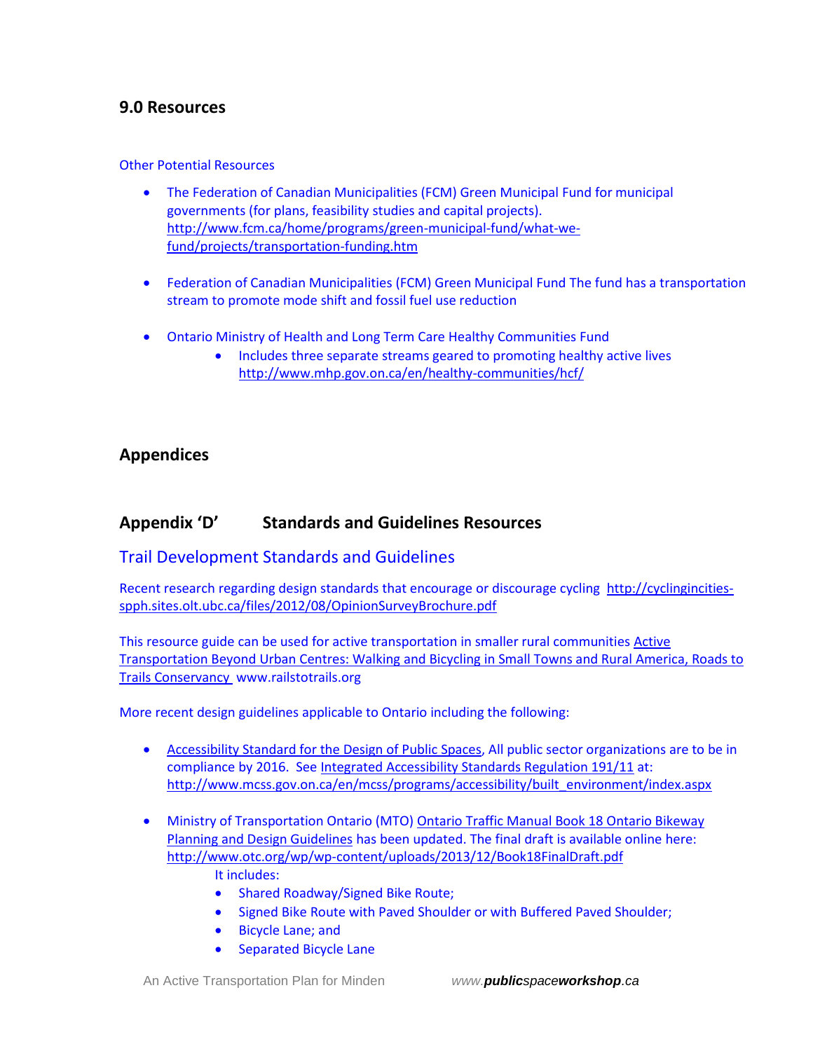## **9.0 Resources**

#### Other Potential Resources

- The Federation of Canadian Municipalities (FCM) Green Municipal Fund for municipal governments (for plans, feasibility studies and capital projects). [http://www.fcm.ca/home/programs/green-municipal-fund/what-we](http://www.fcm.ca/home/programs/green-municipal-fund/what-we-fund/projects/transportation-funding.htm)[fund/projects/transportation-funding.htm](http://www.fcm.ca/home/programs/green-municipal-fund/what-we-fund/projects/transportation-funding.htm)
- Federation of Canadian Municipalities (FCM) Green Municipal Fund The fund has a transportation stream to promote mode shift and fossil fuel use reduction
- Ontario Ministry of Health and Long Term Care Healthy Communities Fund
	- Includes three separate streams geared to promoting healthy active lives <http://www.mhp.gov.on.ca/en/healthy-communities/hcf/>

## **Appendices**

## **Appendix 'D' Standards and Guidelines Resources**

## Trail Development Standards and Guidelines

Recent research regarding design standards that encourage or discourage cycling [http://cyclingincities](http://cyclingincities-spph.sites.olt.ubc.ca/files/2012/08/OpinionSurveyBrochure.pdf)[spph.sites.olt.ubc.ca/files/2012/08/OpinionSurveyBrochure.pdf](http://cyclingincities-spph.sites.olt.ubc.ca/files/2012/08/OpinionSurveyBrochure.pdf)

This resource guide can be used for active transportation in smaller rural communities [Active](http://completestreetsforcanada.ca/resources/active-transportation-beyond-urban-centres-walking-and-bicycling-small-towns-and-rural) [Transportation](http://completestreetsforcanada.ca/resources/active-transportation-beyond-urban-centres-walking-and-bicycling-small-towns-and-rural) Beyond Urban Centres: Walking and Bicycling in Small Towns and Rural America, Roads to Trails [Conservancy](http://completestreetsforcanada.ca/resources/active-transportation-beyond-urban-centres-walking-and-bicycling-small-towns-and-rural) www.railstotrails.org

More recent design guidelines applicable to Ontario including the following:

- Accessibility Standard for the Design of Public Spaces, All public sector organizations are to be in compliance by 2016. See [Integrated Accessibility Standards Regulation 191/11](http://www.e-laws.gov.on.ca/html/regs/english/elaws_regs_110191_e.htm#BK92) at: [http://www.mcss.gov.on.ca/en/mcss/programs/accessibility/built\\_environment/index.aspx](http://www.mcss.gov.on.ca/en/mcss/programs/accessibility/built_environment/index.aspx)
- Ministry of Transportation Ontario (MTO) Ontario Traffic Manual Book 18 Ontario Bikeway Planning and Design Guidelines has been updated. The final draft is available online here: <http://www.otc.org/wp/wp-content/uploads/2013/12/Book18FinalDraft.pdf> It includes:
	- Shared Roadway/Signed Bike Route;
	- Signed Bike Route with Paved Shoulder or with Buffered Paved Shoulder;
	- Bicycle Lane; and
	- Separated Bicycle Lane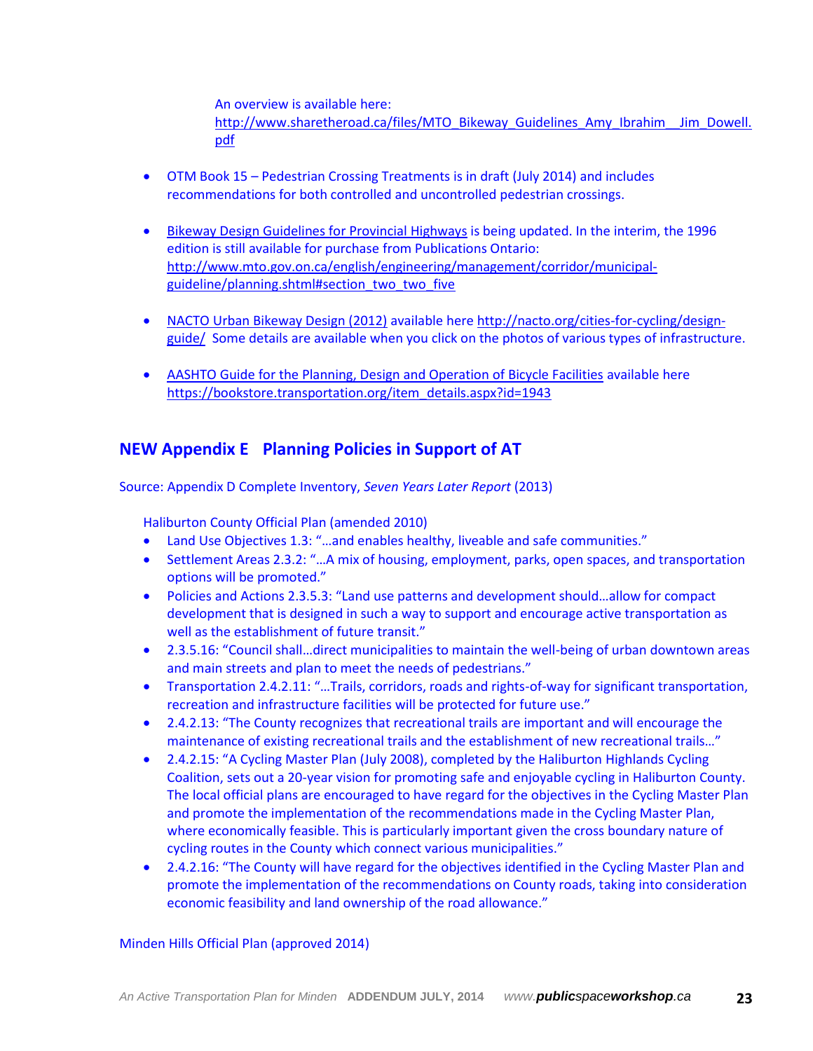An overview is available here:

http://www.sharetheroad.ca/files/MTO\_Bikeway\_Guidelines\_Amy\_Ibrahim\_Jim\_Dowell. [pdf](http://www.sharetheroad.ca/files/MTO_Bikeway_Guidelines_Amy_Ibrahim__Jim_Dowell.pdf)

- OTM Book 15 Pedestrian Crossing Treatments is in draft (July 2014) and includes recommendations for both controlled and uncontrolled pedestrian crossings.
- Bikeway Design Guidelines for Provincial Highways is being updated. In the interim, the 1996 edition is still available for purchase from Publications Ontario: [http://www.mto.gov.on.ca/english/engineering/management/corridor/municipal](http://www.mto.gov.on.ca/english/engineering/management/corridor/municipal-guideline/planning.shtml#section_two_two_five)[guideline/planning.shtml#section\\_two\\_two\\_five](http://www.mto.gov.on.ca/english/engineering/management/corridor/municipal-guideline/planning.shtml#section_two_two_five)
- NACTO Urban Bikeway Design (2012) available here [http://nacto.org/cities-for-cycling/design](http://nacto.org/cities-for-cycling/design-guide/)[guide/](http://nacto.org/cities-for-cycling/design-guide/) Some details are available when you click on the photos of various types of infrastructure.
- AASHTO Guide for the Planning, Design and Operation of Bicycle Facilities available here [https://bookstore.transportation.org/item\\_details.aspx?id=1943](https://bookstore.transportation.org/item_details.aspx?id=1943)

# **NEW Appendix E Planning Policies in Support of AT**

Source: Appendix D Complete Inventory, *Seven Years Later Report* (2013)

Haliburton County Official Plan (amended 2010)

- Land Use Objectives 1.3: "…and enables healthy, liveable and safe communities."
- Settlement Areas 2.3.2: "…A mix of housing, employment, parks, open spaces, and transportation options will be promoted."
- Policies and Actions 2.3.5.3: "Land use patterns and development should…allow for compact development that is designed in such a way to support and encourage active transportation as well as the establishment of future transit."
- 2.3.5.16: "Council shall…direct municipalities to maintain the well-being of urban downtown areas and main streets and plan to meet the needs of pedestrians."
- Transportation 2.4.2.11: "…Trails, corridors, roads and rights-of-way for significant transportation, recreation and infrastructure facilities will be protected for future use."
- 2.4.2.13: "The County recognizes that recreational trails are important and will encourage the maintenance of existing recreational trails and the establishment of new recreational trails…"
- 2.4.2.15: "A Cycling Master Plan (July 2008), completed by the Haliburton Highlands Cycling Coalition, sets out a 20-year vision for promoting safe and enjoyable cycling in Haliburton County. The local official plans are encouraged to have regard for the objectives in the Cycling Master Plan and promote the implementation of the recommendations made in the Cycling Master Plan, where economically feasible. This is particularly important given the cross boundary nature of cycling routes in the County which connect various municipalities."
- 2.4.2.16: "The County will have regard for the objectives identified in the Cycling Master Plan and promote the implementation of the recommendations on County roads, taking into consideration economic feasibility and land ownership of the road allowance."

#### Minden Hills Official Plan (approved 2014)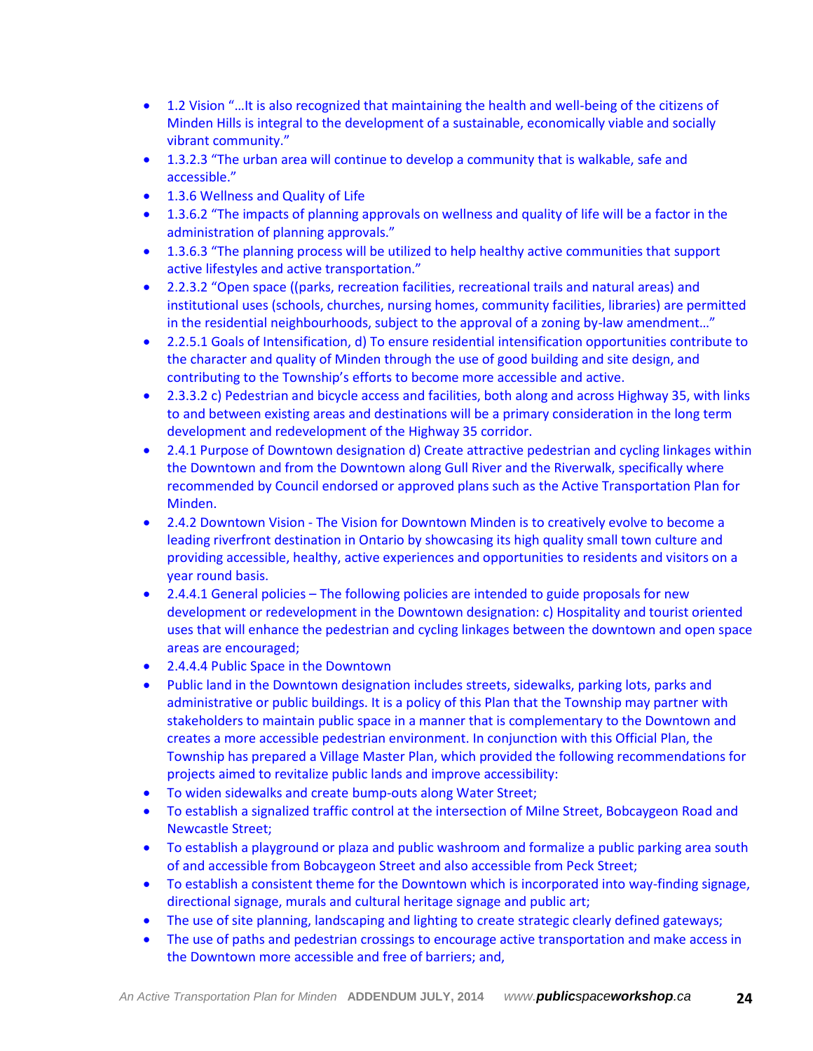- 1.2 Vision "…It is also recognized that maintaining the health and well-being of the citizens of Minden Hills is integral to the development of a sustainable, economically viable and socially vibrant community."
- 1.3.2.3 "The urban area will continue to develop a community that is walkable, safe and accessible."
- 1.3.6 Wellness and Quality of Life
- 1.3.6.2 "The impacts of planning approvals on wellness and quality of life will be a factor in the administration of planning approvals."
- 1.3.6.3 "The planning process will be utilized to help healthy active communities that support active lifestyles and active transportation."
- 2.2.3.2 "Open space ((parks, recreation facilities, recreational trails and natural areas) and institutional uses (schools, churches, nursing homes, community facilities, libraries) are permitted in the residential neighbourhoods, subject to the approval of a zoning by-law amendment…"
- 2.2.5.1 Goals of Intensification, d) To ensure residential intensification opportunities contribute to the character and quality of Minden through the use of good building and site design, and contributing to the Township's efforts to become more accessible and active.
- 2.3.3.2 c) Pedestrian and bicycle access and facilities, both along and across Highway 35, with links to and between existing areas and destinations will be a primary consideration in the long term development and redevelopment of the Highway 35 corridor.
- 2.4.1 Purpose of Downtown designation d) Create attractive pedestrian and cycling linkages within the Downtown and from the Downtown along Gull River and the Riverwalk, specifically where recommended by Council endorsed or approved plans such as the Active Transportation Plan for Minden.
- 2.4.2 Downtown Vision The Vision for Downtown Minden is to creatively evolve to become a leading riverfront destination in Ontario by showcasing its high quality small town culture and providing accessible, healthy, active experiences and opportunities to residents and visitors on a year round basis.
- 2.4.4.1 General policies The following policies are intended to guide proposals for new development or redevelopment in the Downtown designation: c) Hospitality and tourist oriented uses that will enhance the pedestrian and cycling linkages between the downtown and open space areas are encouraged;
- 2.4.4.4 Public Space in the Downtown
- Public land in the Downtown designation includes streets, sidewalks, parking lots, parks and administrative or public buildings. It is a policy of this Plan that the Township may partner with stakeholders to maintain public space in a manner that is complementary to the Downtown and creates a more accessible pedestrian environment. In conjunction with this Official Plan, the Township has prepared a Village Master Plan, which provided the following recommendations for projects aimed to revitalize public lands and improve accessibility:
- To widen sidewalks and create bump-outs along Water Street;
- To establish a signalized traffic control at the intersection of Milne Street, Bobcaygeon Road and Newcastle Street;
- To establish a playground or plaza and public washroom and formalize a public parking area south of and accessible from Bobcaygeon Street and also accessible from Peck Street;
- To establish a consistent theme for the Downtown which is incorporated into way-finding signage, directional signage, murals and cultural heritage signage and public art;
- The use of site planning, landscaping and lighting to create strategic clearly defined gateways;
- The use of paths and pedestrian crossings to encourage active transportation and make access in the Downtown more accessible and free of barriers; and,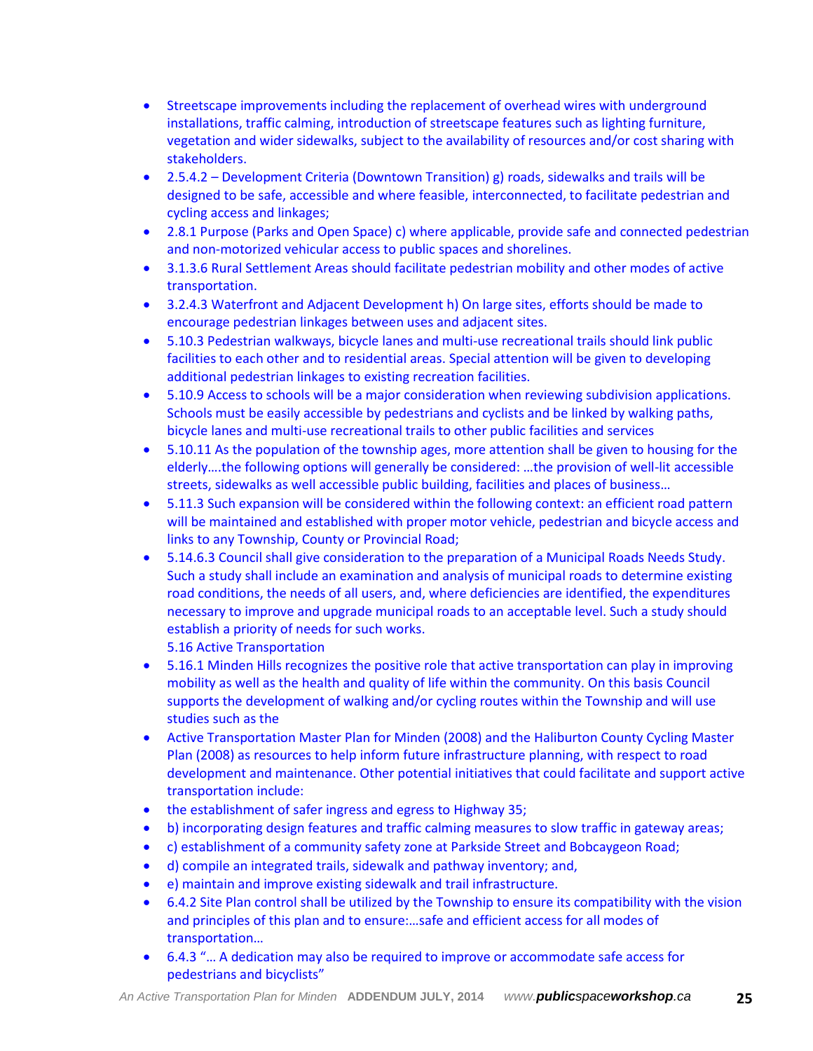- Streetscape improvements including the replacement of overhead wires with underground installations, traffic calming, introduction of streetscape features such as lighting furniture, vegetation and wider sidewalks, subject to the availability of resources and/or cost sharing with stakeholders.
- 2.5.4.2 Development Criteria (Downtown Transition) g) roads, sidewalks and trails will be designed to be safe, accessible and where feasible, interconnected, to facilitate pedestrian and cycling access and linkages;
- 2.8.1 Purpose (Parks and Open Space) c) where applicable, provide safe and connected pedestrian and non-motorized vehicular access to public spaces and shorelines.
- 3.1.3.6 Rural Settlement Areas should facilitate pedestrian mobility and other modes of active transportation.
- 3.2.4.3 Waterfront and Adjacent Development h) On large sites, efforts should be made to encourage pedestrian linkages between uses and adjacent sites.
- 5.10.3 Pedestrian walkways, bicycle lanes and multi-use recreational trails should link public facilities to each other and to residential areas. Special attention will be given to developing additional pedestrian linkages to existing recreation facilities.
- 5.10.9 Access to schools will be a major consideration when reviewing subdivision applications. Schools must be easily accessible by pedestrians and cyclists and be linked by walking paths, bicycle lanes and multi-use recreational trails to other public facilities and services
- 5.10.11 As the population of the township ages, more attention shall be given to housing for the elderly….the following options will generally be considered: …the provision of well-lit accessible streets, sidewalks as well accessible public building, facilities and places of business…
- 5.11.3 Such expansion will be considered within the following context: an efficient road pattern will be maintained and established with proper motor vehicle, pedestrian and bicycle access and links to any Township, County or Provincial Road;
- 5.14.6.3 Council shall give consideration to the preparation of a Municipal Roads Needs Study. Such a study shall include an examination and analysis of municipal roads to determine existing road conditions, the needs of all users, and, where deficiencies are identified, the expenditures necessary to improve and upgrade municipal roads to an acceptable level. Such a study should establish a priority of needs for such works.
	- 5.16 Active Transportation
- 5.16.1 Minden Hills recognizes the positive role that active transportation can play in improving mobility as well as the health and quality of life within the community. On this basis Council supports the development of walking and/or cycling routes within the Township and will use studies such as the
- Active Transportation Master Plan for Minden (2008) and the Haliburton County Cycling Master Plan (2008) as resources to help inform future infrastructure planning, with respect to road development and maintenance. Other potential initiatives that could facilitate and support active transportation include:
- the establishment of safer ingress and egress to Highway 35;
- b) incorporating design features and traffic calming measures to slow traffic in gateway areas;
- c) establishment of a community safety zone at Parkside Street and Bobcaygeon Road;
- d) compile an integrated trails, sidewalk and pathway inventory; and,
- e) maintain and improve existing sidewalk and trail infrastructure.
- 6.4.2 Site Plan control shall be utilized by the Township to ensure its compatibility with the vision and principles of this plan and to ensure:…safe and efficient access for all modes of transportation…
- 6.4.3 "… A dedication may also be required to improve or accommodate safe access for pedestrians and bicyclists"